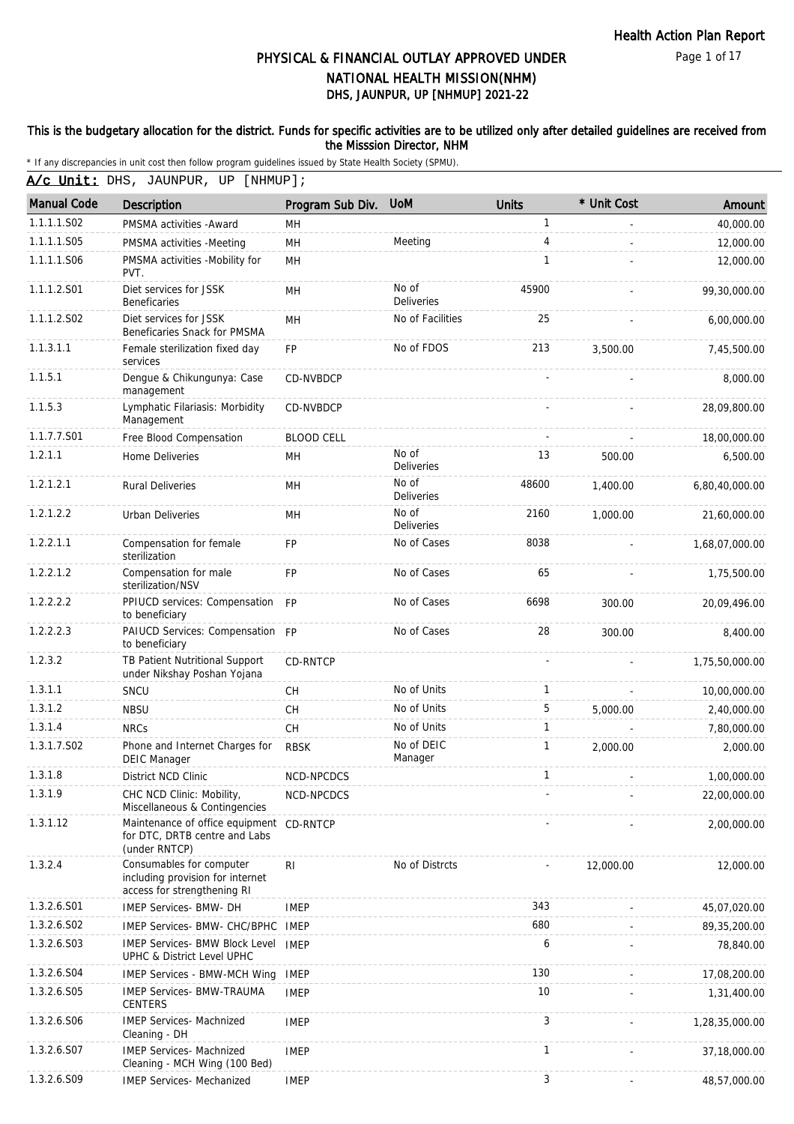Page 1 of 17

# DHS, JAUNPUR, UP [NHMUP] 2021-22 PHYSICAL & FINANCIAL OUTLAY APPROVED UNDER NATIONAL HEALTH MISSION(NHM)

#### This is the budgetary allocation for the district. Funds for specific activities are to be utilized only after detailed guidelines are received from the Misssion Director, NHM

\* If any discrepancies in unit cost then follow program guidelines issued by State Health Society (SPMU).

A/c Unit: DHS, JAUNPUR, UP [NHMUP];

| <b>Manual Code</b> | Description                                                                                 | Program Sub Div.  | <b>UoM</b>                 | <b>Units</b> | * Unit Cost    | Amount         |
|--------------------|---------------------------------------------------------------------------------------------|-------------------|----------------------------|--------------|----------------|----------------|
| 1.1.1.1.S02        | PMSMA activities - Award                                                                    | MН                |                            | 1            |                | 40,000.00      |
| 1.1.1.1.S05        | PMSMA activities -Meeting                                                                   | MH                | Meeting                    | 4            |                | 12,000.00      |
| 1.1.1.1.S06        | PMSMA activities -Mobility for<br>PVT.                                                      | MH                |                            | $\mathbf{1}$ |                | 12,000.00      |
| 1.1.1.2.S01        | Diet services for JSSK<br><b>Beneficaries</b>                                               | MH                | No of<br>Deliveries        | 45900        |                | 99,30,000.00   |
| 1.1.1.2.S02        | Diet services for JSSK<br>Beneficaries Snack for PMSMA                                      | MН                | No of Facilities           | 25           |                | 6,00,000.00    |
| 1.1.3.1.1          | Female sterilization fixed day<br>services                                                  | <b>FP</b>         | No of FDOS                 | 213          | 3,500.00       | 7,45,500.00    |
| 1.1.5.1            | Dengue & Chikungunya: Case<br>management                                                    | CD-NVBDCP         |                            |              |                | 8,000.00       |
| 1.1.5.3            | Lymphatic Filariasis: Morbidity<br>Management                                               | CD-NVBDCP         |                            |              |                | 28,09,800.00   |
| 1.1.7.7.S01        | Free Blood Compensation                                                                     | <b>BLOOD CELL</b> |                            |              |                | 18,00,000.00   |
| 1.2.1.1            | Home Deliveries                                                                             | MН                | No of<br><b>Deliveries</b> | 13           | 500.00         | 6,500.00       |
| 1.2.1.2.1          | <b>Rural Deliveries</b>                                                                     | <b>MH</b>         | No of<br><b>Deliveries</b> | 48600        | 1,400.00       | 6,80,40,000.00 |
| 1.2.1.2.2          | <b>Urban Deliveries</b>                                                                     | MH                | No of<br><b>Deliveries</b> | 2160         | 1,000.00       | 21,60,000.00   |
| 1.2.2.1.1          | Compensation for female<br>sterilization                                                    | <b>FP</b>         | No of Cases                | 8038         |                | 1,68,07,000.00 |
| 1.2.2.1.2          | Compensation for male<br>sterilization/NSV                                                  | <b>FP</b>         | No of Cases                | 65           |                | 1,75,500.00    |
| 1.2.2.2.2          | PPIUCD services: Compensation FP<br>to beneficiary                                          |                   | No of Cases                | 6698         | 300.00         | 20,09,496.00   |
| 1.2.2.2.3          | PAIUCD Services: Compensation FP<br>to beneficiary                                          |                   | No of Cases                | 28           | 300.00         | 8,400.00       |
| 1.2.3.2            | TB Patient Nutritional Support<br>under Nikshay Poshan Yojana                               | CD-RNTCP          |                            |              |                | 1,75,50,000.00 |
| 1.3.1.1            | SNCU                                                                                        | <b>CH</b>         | No of Units                | 1            |                | 10,00,000.00   |
| 1.3.1.2            | <b>NBSU</b>                                                                                 | CH                | No of Units                | 5            | 5,000.00       | 2,40,000.00    |
| 1.3.1.4            | <b>NRCs</b>                                                                                 | <b>CH</b>         | No of Units                | 1            |                | 7,80,000.00    |
| 1.3.1.7.S02        | Phone and Internet Charges for<br><b>DEIC Manager</b>                                       | <b>RBSK</b>       | No of DEIC<br>Manager      | $\mathbf{1}$ | 2,000.00       | 2,000.00       |
| 1.3.1.8            | <b>District NCD Clinic</b>                                                                  | NCD-NPCDCS        |                            | 1            |                | 1,00,000.00    |
| 1.3.1.9            | CHC NCD Clinic: Mobility,<br>Miscellaneous & Contingencies                                  | NCD-NPCDCS        |                            |              |                | 22,00,000.00   |
| 1.3.1.12           | Maintenance of office equipment<br>for DTC, DRTB centre and Labs<br>(under RNTCP)           | CD-RNTCP          |                            |              |                | 2,00,000.00    |
| 1.3.2.4            | Consumables for computer<br>including provision for internet<br>access for strengthening RI | R <sub>l</sub>    | No of Distrcts             |              | 12,000.00      | 12,000.00      |
| 1.3.2.6.S01        | IMEP Services- BMW- DH                                                                      | <b>IMEP</b>       |                            | 343          |                | 45,07,020.00   |
| 1.3.2.6.S02        | IMEP Services- BMW- CHC/BPHC                                                                | IMEP              |                            | 680          |                | 89, 35, 200.00 |
| 1.3.2.6.S03        | <b>IMEP Services- BMW Block Level</b><br>UPHC & District Level UPHC                         | <b>IMEP</b>       |                            | 6            |                | 78,840.00      |
| 1.3.2.6.S04        | <b>IMEP Services - BMW-MCH Wing</b>                                                         | <b>IMEP</b>       |                            | 130          |                | 17,08,200.00   |
| 1.3.2.6.S05        | <b>IMEP Services- BMW-TRAUMA</b><br><b>CENTERS</b>                                          | <b>IMEP</b>       |                            | 10           |                | 1,31,400.00    |
| 1.3.2.6.S06        | <b>IMEP Services- Machnized</b><br>Cleaning - DH                                            | <b>IMEP</b>       |                            | 3            |                | 1,28,35,000.00 |
| 1.3.2.6.S07        | <b>IMEP Services- Machnized</b><br>Cleaning - MCH Wing (100 Bed)                            | <b>IMEP</b>       |                            | 1            |                | 37,18,000.00   |
| 1.3.2.6.S09        | IMEP Services- Mechanized                                                                   | <b>IMEP</b>       |                            | 3            | $\blacksquare$ | 48,57,000.00   |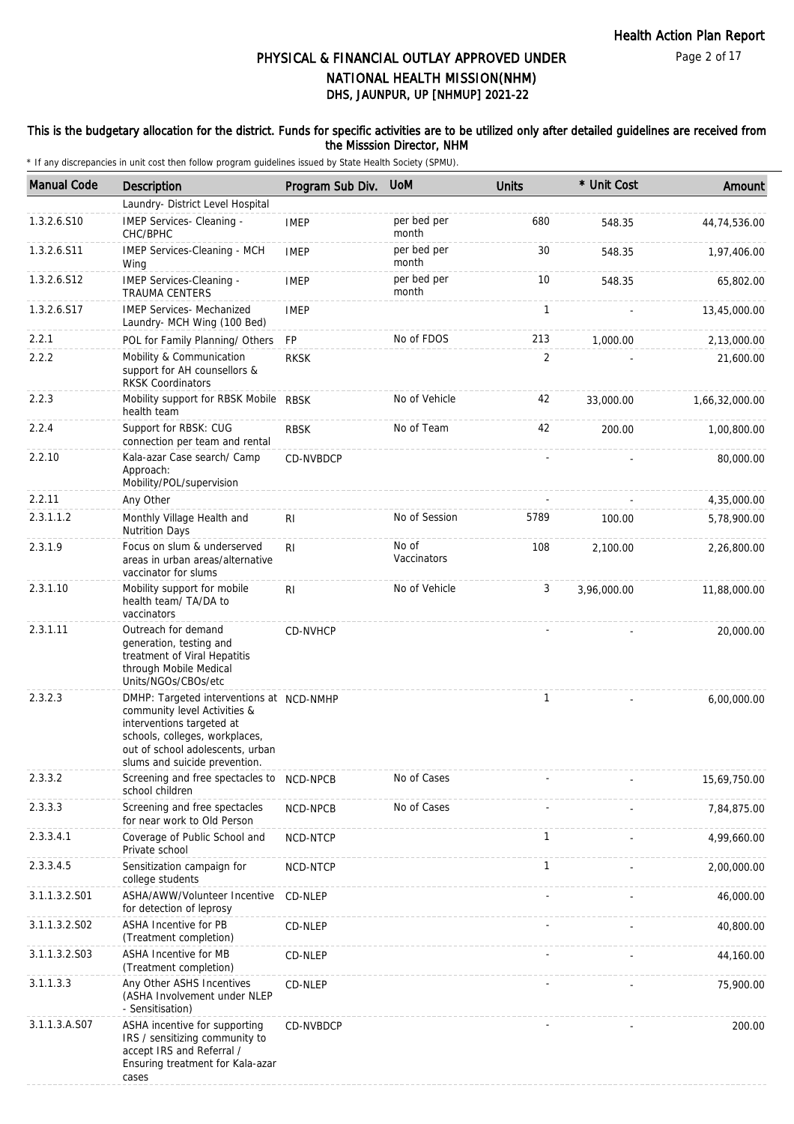#### This is the budgetary allocation for the district. Funds for specific activities are to be utilized only after detailed guidelines are received from the Misssion Director, NHM

| <b>Manual Code</b> | <b>Description</b>                                                                                                                                                                                           | Program Sub Div. | <b>UoM</b>           | <b>Units</b> | * Unit Cost | Amount         |
|--------------------|--------------------------------------------------------------------------------------------------------------------------------------------------------------------------------------------------------------|------------------|----------------------|--------------|-------------|----------------|
|                    | Laundry- District Level Hospital                                                                                                                                                                             |                  |                      |              |             |                |
| 1.3.2.6.S10        | IMEP Services- Cleaning -<br>CHC/BPHC                                                                                                                                                                        | <b>IMEP</b>      | per bed per<br>month | 680          | 548.35      | 44,74,536.00   |
| 1.3.2.6.S11        | IMEP Services-Cleaning - MCH<br>Wing                                                                                                                                                                         | <b>IMEP</b>      | per bed per<br>month | 30           | 548.35      | 1,97,406.00    |
| 1.3.2.6.S12        | IMEP Services-Cleaning -<br>TRAUMA CENTERS                                                                                                                                                                   | <b>IMEP</b>      | per bed per<br>month | 10           | 548.35      | 65,802.00      |
| 1.3.2.6.S17        | <b>IMEP Services- Mechanized</b><br>Laundry- MCH Wing (100 Bed)                                                                                                                                              | <b>IMEP</b>      |                      | 1            |             | 13,45,000.00   |
| 2.2.1              | POL for Family Planning/ Others                                                                                                                                                                              | FP               | No of FDOS           | 213          | 1,000.00    | 2,13,000.00    |
| 2.2.2              | Mobility & Communication<br>support for AH counsellors &<br><b>RKSK Coordinators</b>                                                                                                                         | <b>RKSK</b>      |                      | 2            |             | 21,600.00      |
| 2.2.3              | Mobility support for RBSK Mobile RBSK<br>health team                                                                                                                                                         |                  | No of Vehicle        | 42           | 33,000.00   | 1,66,32,000.00 |
| 2.2.4              | Support for RBSK: CUG<br>connection per team and rental                                                                                                                                                      | <b>RBSK</b>      | No of Team           | 42           | 200.00      | 1,00,800.00    |
| 2.2.10             | Kala-azar Case search/ Camp<br>Approach:<br>Mobility/POL/supervision                                                                                                                                         | CD-NVBDCP        |                      |              |             | 80,000.00      |
| 2.2.11             | Any Other                                                                                                                                                                                                    |                  |                      |              |             | 4,35,000.00    |
| 2.3.1.1.2          | Monthly Village Health and<br><b>Nutrition Days</b>                                                                                                                                                          | R <sub>l</sub>   | No of Session        | 5789         | 100.00      | 5,78,900.00    |
| 2.3.1.9            | Focus on slum & underserved<br>areas in urban areas/alternative<br>vaccinator for slums                                                                                                                      | RI               | No of<br>Vaccinators | 108          | 2,100.00    | 2,26,800.00    |
| 2.3.1.10           | Mobility support for mobile<br>health team/ TA/DA to<br>vaccinators                                                                                                                                          | RI.              | No of Vehicle        | 3            | 3,96,000.00 | 11,88,000.00   |
| 2.3.1.11           | Outreach for demand<br>generation, testing and<br>treatment of Viral Hepatitis<br>through Mobile Medical<br>Units/NGOs/CBOs/etc                                                                              | CD-NVHCP         |                      |              |             | 20,000.00      |
| 2.3.2.3            | DMHP: Targeted interventions at NCD-NMHP<br>community level Activities &<br>interventions targeted at<br>schools, colleges, workplaces,<br>out of school adolescents, urban<br>slums and suicide prevention. |                  |                      | $\mathbf{1}$ |             | 6,00,000.00    |
| 2.3.3.2            | Screening and free spectacles to<br>school children                                                                                                                                                          | NCD-NPCB         | No of Cases          |              |             | 15,69,750.00   |
| 2.3.3.3            | Screening and free spectacles<br>for near work to Old Person                                                                                                                                                 | NCD-NPCB         | No of Cases          |              |             | 7,84,875.00    |
| 2.3.3.4.1          | Coverage of Public School and<br>Private school                                                                                                                                                              | NCD-NTCP         |                      | $\mathbf{1}$ |             | 4,99,660.00    |
| 2.3.3.4.5          | Sensitization campaign for<br>college students                                                                                                                                                               | NCD-NTCP         |                      | $\mathbf{1}$ |             | 2,00,000.00    |
| 3.1.1.3.2.S01      | ASHA/AWW/Volunteer Incentive<br>for detection of leprosy                                                                                                                                                     | CD-NLEP          |                      |              |             | 46,000.00      |
| 3.1.1.3.2.S02      | ASHA Incentive for PB<br>(Treatment completion)                                                                                                                                                              | CD-NLEP          |                      |              |             | 40,800.00      |
| 3.1.1.3.2.S03      | ASHA Incentive for MB<br>(Treatment completion)                                                                                                                                                              | CD-NLEP          |                      |              |             | 44,160.00      |
| 3.1.1.3.3          | Any Other ASHS Incentives<br>(ASHA Involvement under NLEP<br>- Sensitisation)                                                                                                                                | CD-NLEP          |                      |              |             | 75,900.00      |
| 3.1.1.3.A.S07      | ASHA incentive for supporting<br>IRS / sensitizing community to<br>accept IRS and Referral /<br>Ensuring treatment for Kala-azar<br>cases                                                                    | CD-NVBDCP        |                      |              |             | 200.00         |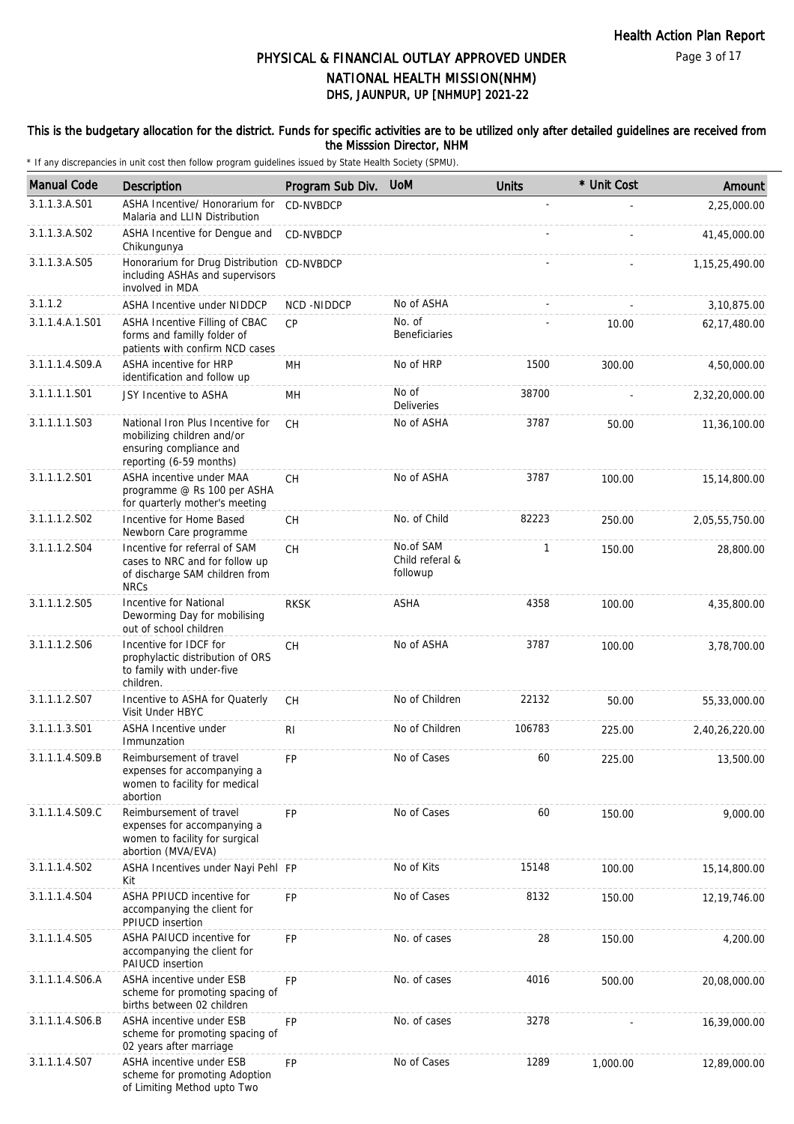#### This is the budgetary allocation for the district. Funds for specific activities are to be utilized only after detailed guidelines are received from the Misssion Director, NHM

| <b>Manual Code</b> | Description                                                                                                          | Program Sub Div. | <b>UoM</b>                               | <b>Units</b> | * Unit Cost | Amount            |
|--------------------|----------------------------------------------------------------------------------------------------------------------|------------------|------------------------------------------|--------------|-------------|-------------------|
| 3.1.1.3.A.S01      | ASHA Incentive/ Honorarium for<br>Malaria and LLIN Distribution                                                      | CD-NVBDCP        |                                          |              |             | 2,25,000.00       |
| 3.1.1.3.A.S02      | ASHA Incentive for Dengue and<br>Chikungunya                                                                         | CD-NVBDCP        |                                          |              |             | 41,45,000.00      |
| 3.1.1.3.A.S05      | Honorarium for Drug Distribution CD-NVBDCP<br>including ASHAs and supervisors<br>involved in MDA                     |                  |                                          |              |             | 1, 15, 25, 490.00 |
| 3.1.1.2            | ASHA Incentive under NIDDCP                                                                                          | NCD -NIDDCP      | No of ASHA                               |              |             | 3,10,875.00       |
| 3.1.1.4.A.1.S01    | ASHA Incentive Filling of CBAC<br>forms and familly folder of<br>patients with confirm NCD cases                     | CP               | No. of<br><b>Beneficiaries</b>           |              | 10.00       | 62,17,480.00      |
| 3.1.1.1.4.S09.A    | ASHA incentive for HRP<br>identification and follow up                                                               | <b>MH</b>        | No of HRP                                | 1500         | 300.00      | 4,50,000.00       |
| 3.1.1.1.1.S01      | JSY Incentive to ASHA                                                                                                | MН               | No of<br>Deliveries                      | 38700        |             | 2,32,20,000.00    |
| 3.1.1.1.1.S03      | National Iron Plus Incentive for<br>mobilizing children and/or<br>ensuring compliance and<br>reporting (6-59 months) | <b>CH</b>        | No of ASHA                               | 3787         | 50.00       | 11,36,100.00      |
| 3.1.1.1.2.S01      | ASHA incentive under MAA<br>programme @ Rs 100 per ASHA<br>for quarterly mother's meeting                            | <b>CH</b>        | No of ASHA                               | 3787         | 100.00      | 15,14,800.00      |
| 3.1.1.1.2.S02      | Incentive for Home Based<br>Newborn Care programme                                                                   | <b>CH</b>        | No. of Child                             | 82223        | 250.00      | 2,05,55,750.00    |
| 3.1.1.1.2.S04      | Incentive for referral of SAM<br>cases to NRC and for follow up<br>of discharge SAM children from<br><b>NRCs</b>     | <b>CH</b>        | No.of SAM<br>Child referal &<br>followup | 1            | 150.00      | 28,800.00         |
| 3.1.1.1.2.S05      | Incentive for National<br>Deworming Day for mobilising<br>out of school children                                     | <b>RKSK</b>      | ASHA                                     | 4358         | 100.00      | 4,35,800.00       |
| 3.1.1.1.2.S06      | Incentive for IDCF for<br>prophylactic distribution of ORS<br>to family with under-five<br>children.                 | CH               | No of ASHA                               | 3787         | 100.00      | 3,78,700.00       |
| 3.1.1.1.2.S07      | Incentive to ASHA for Quaterly<br>Visit Under HBYC                                                                   | CH               | No of Children                           | 22132        | 50.00       | 55,33,000.00      |
| 3.1.1.1.3.S01      | <b>ASHA Incentive under</b><br>Immunzation                                                                           | RI               | No of Children                           | 106783       | 225.00      | 2,40,26,220.00    |
| 3.1.1.1.4.S09.B    | Reimbursement of travel<br>expenses for accompanying a<br>women to facility for medical<br>abortion                  | FP               | No of Cases                              | 60           | 225.00      | 13,500.00         |
| 3.1.1.1.4.S09.C    | Reimbursement of travel<br>expenses for accompanying a<br>women to facility for surgical<br>abortion (MVA/EVA)       | <b>FP</b>        | No of Cases                              | 60           | 150.00      | 9,000.00          |
| 3.1.1.1.4.S02      | ASHA Incentives under Nayi Pehl FP<br>Kit                                                                            |                  | No of Kits                               | 15148        | 100.00      | 15,14,800.00      |
| 3.1.1.1.4.S04      | ASHA PPIUCD incentive for<br>accompanying the client for<br>PPIUCD insertion                                         | <b>FP</b>        | No of Cases                              | 8132         | 150.00      | 12, 19, 746.00    |
| 3.1.1.1.4.S05      | ASHA PAIUCD incentive for<br>accompanying the client for<br>PAIUCD insertion                                         | <b>FP</b>        | No. of cases                             | 28           | 150.00      | 4,200.00          |
| 3.1.1.1.4.S06.A    | ASHA incentive under ESB<br>scheme for promoting spacing of<br>births between 02 children                            | <b>FP</b>        | No. of cases                             | 4016         | 500.00      | 20,08,000.00      |
| 3.1.1.1.4.S06.B    | ASHA incentive under ESB<br>scheme for promoting spacing of<br>02 years after marriage                               | <b>FP</b>        | No. of cases                             | 3278         |             | 16,39,000.00      |
| 3.1.1.1.4.S07      | ASHA incentive under ESB<br>scheme for promoting Adoption<br>of Limiting Method upto Two                             | FP               | No of Cases                              | 1289         | 1,000.00    | 12,89,000.00      |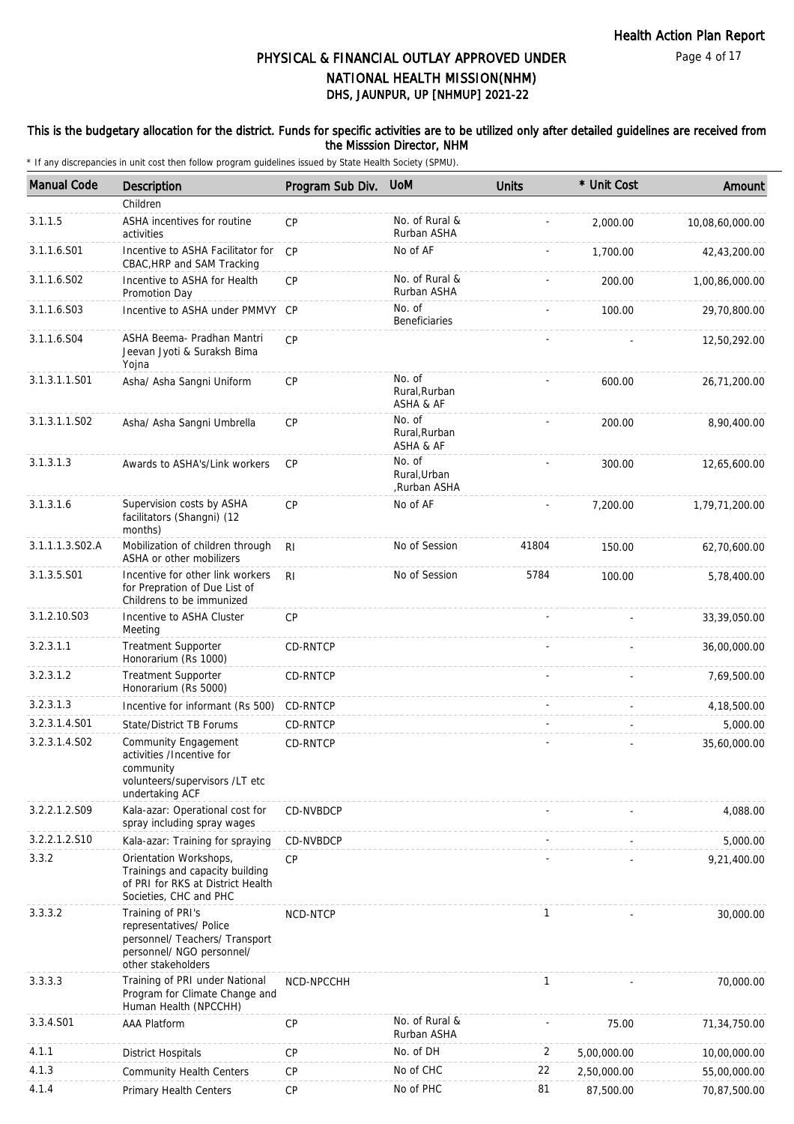#### This is the budgetary allocation for the district. Funds for specific activities are to be utilized only after detailed guidelines are received from the Misssion Director, NHM

| <b>Manual Code</b> | <b>Description</b>                                                                                                                | Program Sub Div. | <b>UoM</b>                             | <b>Units</b> | * Unit Cost | Amount          |
|--------------------|-----------------------------------------------------------------------------------------------------------------------------------|------------------|----------------------------------------|--------------|-------------|-----------------|
|                    | Children                                                                                                                          |                  |                                        |              |             |                 |
| 3.1.1.5            | ASHA incentives for routine<br>activities                                                                                         | CP               | No. of Rural &<br>Rurban ASHA          |              | 2,000.00    | 10,08,60,000.00 |
| 3.1.1.6.S01        | Incentive to ASHA Facilitator for<br>CBAC, HRP and SAM Tracking                                                                   | CP               | No of AF                               |              | 1,700.00    | 42,43,200.00    |
| 3.1.1.6.S02        | Incentive to ASHA for Health<br>Promotion Day                                                                                     | <b>CP</b>        | No. of Rural &<br>Rurban ASHA          |              | 200.00      | 1,00,86,000.00  |
| 3.1.1.6.S03        | Incentive to ASHA under PMMVY CP                                                                                                  |                  | No. of<br><b>Beneficiaries</b>         |              | 100.00      | 29,70,800.00    |
| 3.1.1.6.S04        | ASHA Beema- Pradhan Mantri<br>Jeevan Jyoti & Suraksh Bima<br>Yojna                                                                | CP               |                                        |              |             | 12,50,292.00    |
| 3.1.3.1.1.S01      | Asha/ Asha Sangni Uniform                                                                                                         | <b>CP</b>        | No. of<br>Rural, Rurban<br>ASHA & AF   |              | 600.00      | 26,71,200.00    |
| 3.1.3.1.1.S02      | Asha/ Asha Sangni Umbrella                                                                                                        | CP               | No. of<br>Rural, Rurban<br>ASHA & AF   |              | 200.00      | 8,90,400.00     |
| 3.1.3.1.3          | Awards to ASHA's/Link workers                                                                                                     | CP               | No. of<br>Rural, Urban<br>,Rurban ASHA |              | 300.00      | 12,65,600.00    |
| 3.1.3.1.6          | Supervision costs by ASHA<br>facilitators (Shangni) (12<br>months)                                                                | <b>CP</b>        | No of AF                               |              | 7,200.00    | 1,79,71,200.00  |
| 3.1.1.1.3.S02.A    | Mobilization of children through<br>ASHA or other mobilizers                                                                      | R <sub>l</sub>   | No of Session                          | 41804        | 150.00      | 62,70,600.00    |
| 3.1.3.5.S01        | Incentive for other link workers<br>for Prepration of Due List of<br>Childrens to be immunized                                    | R <sub>l</sub>   | No of Session                          | 5784         | 100.00      | 5,78,400.00     |
| 3.1.2.10.S03       | Incentive to ASHA Cluster<br>Meeting                                                                                              | <b>CP</b>        |                                        |              |             | 33,39,050.00    |
| 3.2.3.1.1          | <b>Treatment Supporter</b><br>Honorarium (Rs 1000)                                                                                | CD-RNTCP         |                                        |              |             | 36,00,000.00    |
| 3.2.3.1.2          | <b>Treatment Supporter</b><br>Honorarium (Rs 5000)                                                                                | CD-RNTCP         |                                        |              |             | 7,69,500.00     |
| 3.2.3.1.3          | Incentive for informant (Rs 500)                                                                                                  | CD-RNTCP         |                                        |              |             | 4,18,500.00     |
| 3.2.3.1.4.S01      | <b>State/District TB Forums</b>                                                                                                   | CD-RNTCP         |                                        |              |             | 5,000.00        |
| 3.2.3.1.4.S02      | Community Engagement<br>activities /Incentive for<br>community<br>volunteers/supervisors /LT etc<br>undertaking ACF               | CD-RNTCP         |                                        |              |             | 35,60,000.00    |
| 3.2.2.1.2.S09      | Kala-azar: Operational cost for<br>spray including spray wages                                                                    | CD-NVBDCP        |                                        |              |             | 4,088.00        |
| 3.2.2.1.2.S10      | Kala-azar: Training for spraying                                                                                                  | CD-NVBDCP        |                                        |              |             | 5,000.00        |
| 3.3.2              | Orientation Workshops,<br>Trainings and capacity building<br>of PRI for RKS at District Health<br>Societies, CHC and PHC          | <b>CP</b>        |                                        |              |             | 9,21,400.00     |
| 3.3.3.2            | Training of PRI's<br>representatives/ Police<br>personnel/ Teachers/ Transport<br>personnel/ NGO personnel/<br>other stakeholders | NCD-NTCP         |                                        | $\mathbf{1}$ |             | 30,000.00       |
| 3.3.3.3            | Training of PRI under National<br>Program for Climate Change and<br>Human Health (NPCCHH)                                         | NCD-NPCCHH       |                                        | 1            |             | 70,000.00       |
| 3.3.4.S01          | <b>AAA Platform</b>                                                                                                               | CP               | No. of Rural &<br>Rurban ASHA          |              | 75.00       | 71,34,750.00    |
| 4.1.1              | <b>District Hospitals</b>                                                                                                         | <b>CP</b>        | No. of DH                              | 2            | 5,00,000.00 | 10,00,000.00    |
| 4.1.3              | <b>Community Health Centers</b>                                                                                                   | CP               | No of CHC                              | 22           | 2,50,000.00 | 55,00,000.00    |
| 4.1.4              | Primary Health Centers                                                                                                            | CP               | No of PHC                              | 81           | 87,500.00   | 70,87,500.00    |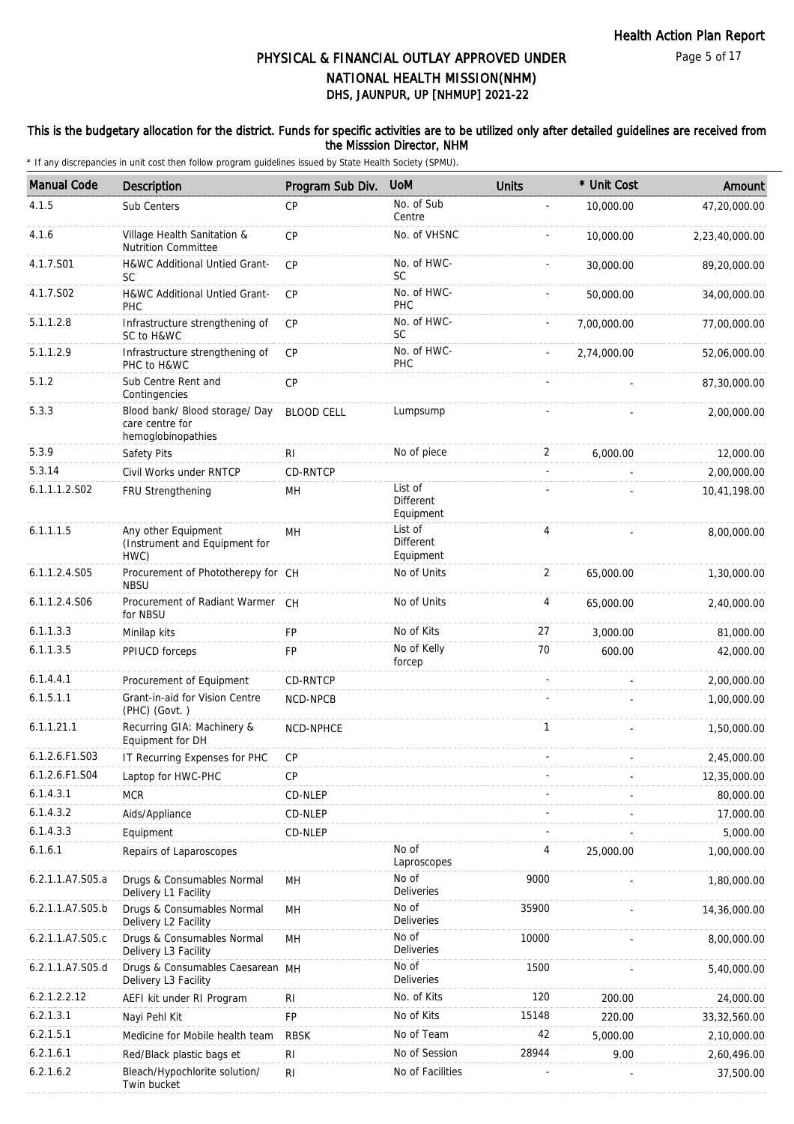#### This is the budgetary allocation for the district. Funds for specific activities are to be utilized only after detailed guidelines are received from the Misssion Director, NHM

| <b>Manual Code</b> | <b>Description</b>                                                      | Program Sub Div.  | <b>UoM</b>                               | <b>Units</b>   | * Unit Cost    | Amount         |
|--------------------|-------------------------------------------------------------------------|-------------------|------------------------------------------|----------------|----------------|----------------|
| 4.1.5              | Sub Centers                                                             | <b>CP</b>         | No. of Sub                               |                | 10,000.00      | 47,20,000.00   |
| 4.1.6              | Village Health Sanitation &                                             | CP                | Centre<br>No. of VHSNC                   |                | 10,000.00      | 2,23,40,000.00 |
|                    | <b>Nutrition Committee</b>                                              |                   |                                          |                |                |                |
| 4.1.7.S01          | H&WC Additional Untied Grant-<br>SC                                     | CP                | No. of HWC-<br><b>SC</b>                 |                | 30,000.00      | 89,20,000.00   |
| 4.1.7.S02          | H&WC Additional Untied Grant-<br>PHC                                    | <b>CP</b>         | No. of HWC-<br>PHC                       |                | 50,000.00      | 34,00,000.00   |
| 5.1.1.2.8          | Infrastructure strengthening of<br>SC to H&WC                           | <b>CP</b>         | No. of HWC-<br>SC                        |                | 7,00,000.00    | 77,00,000.00   |
| 5.1.1.2.9          | Infrastructure strengthening of<br>PHC to H&WC                          | CP                | No. of HWC-<br>PHC                       |                | 2,74,000.00    | 52,06,000.00   |
| 5.1.2              | Sub Centre Rent and<br>Contingencies                                    | CP                |                                          |                |                | 87,30,000.00   |
| 5.3.3              | Blood bank/ Blood storage/ Day<br>care centre for<br>hemoglobinopathies | <b>BLOOD CELL</b> | Lumpsump                                 |                |                | 2,00,000.00    |
| 5.3.9              | Safety Pits                                                             | R <sub>l</sub>    | No of piece                              | 2              | 6,000.00       | 12,000.00      |
| 5.3.14             | Civil Works under RNTCP                                                 | CD-RNTCP          |                                          | $\sim$         |                | 2,00,000.00    |
| 6.1.1.1.2.S02      | FRU Strengthening                                                       | MН                | List of<br><b>Different</b><br>Equipment |                |                | 10,41,198.00   |
| 6.1.1.1.5          | Any other Equipment<br>(Instrument and Equipment for<br>HWC)            | MH                | List of<br><b>Different</b><br>Equipment | $\overline{4}$ |                | 8,00,000.00    |
| 6.1.1.2.4.S05      | Procurement of Phototherepy for CH<br><b>NBSU</b>                       |                   | No of Units                              | $\overline{2}$ | 65,000.00      | 1,30,000.00    |
| 6.1.1.2.4.S06      | Procurement of Radiant Warmer CH<br>for NBSU                            |                   | No of Units                              | 4              | 65,000.00      | 2,40,000.00    |
| 6.1.1.3.3          | Minilap kits                                                            | <b>FP</b>         | No of Kits                               | 27             | 3,000.00       | 81,000.00      |
| 6.1.1.3.5          | PPIUCD forceps                                                          | FP                | No of Kelly<br>forcep                    | 70             | 600.00         | 42,000.00      |
| 6.1.4.4.1          | Procurement of Equipment                                                | CD-RNTCP          |                                          | $\sim$         | $\blacksquare$ | 2,00,000.00    |
| 6.1.5.1.1          | Grant-in-aid for Vision Centre<br>(PHC) (Govt.)                         | NCD-NPCB          |                                          |                |                | 1,00,000.00    |
| 6.1.1.21.1         | Recurring GIA: Machinery &<br>Equipment for DH                          | NCD-NPHCE         |                                          | 1              |                | 1,50,000.00    |
| 6.1.2.6.F1.S03     | IT Recurring Expenses for PHC                                           | <b>CP</b>         |                                          |                |                | 2,45,000.00    |
| 6.1.2.6.F1.S04     | Laptop for HWC-PHC                                                      | CP                |                                          |                |                | 12,35,000.00   |
| 6.1.4.3.1          | <b>MCR</b>                                                              | CD-NLEP           |                                          |                |                | 80,000.00      |
| 6.1.4.3.2          | Aids/Appliance                                                          | CD-NLEP           |                                          |                |                | 17,000.00      |
| 6.1.4.3.3          | Equipment                                                               | CD-NLEP           |                                          |                |                | 5,000.00       |
| 6.1.6.1            | Repairs of Laparoscopes                                                 |                   | No of<br>Laproscopes                     | 4              | 25,000.00      | 1,00,000.00    |
| 6.2.1.1.A7.S05.a   | Drugs & Consumables Normal<br>Delivery L1 Facility                      | MН                | No of<br>Deliveries                      | 9000           |                | 1,80,000.00    |
| 6.2.1.1.A7.S05.b   | Drugs & Consumables Normal<br>Delivery L2 Facility                      | MH                | No of<br>Deliveries                      | 35900          |                | 14,36,000.00   |
| 6.2.1.1.A7.S05.c   | Drugs & Consumables Normal<br>Delivery L3 Facility                      | MH                | No of<br>Deliveries                      | 10000          |                | 8,00,000.00    |
| 6.2.1.1.A7.S05.d   | Drugs & Consumables Caesarean MH<br>Delivery L3 Facility                |                   | No of<br><b>Deliveries</b>               | 1500           |                | 5,40,000.00    |
| 6.2.1.2.2.12       | AEFI kit under RI Program                                               | R <sub>l</sub>    | No. of Kits                              | 120            | 200.00         | 24,000.00      |
| 6.2.1.3.1          | Nayi Pehl Kit                                                           | <b>FP</b>         | No of Kits                               | 15148          | 220.00         | 33, 32, 560.00 |
| 6.2.1.5.1          | Medicine for Mobile health team                                         | <b>RBSK</b>       | No of Team                               | 42             | 5,000.00       | 2,10,000.00    |
| 6.2.1.6.1          | Red/Black plastic bags et                                               | R <sub>l</sub>    | No of Session                            | 28944          | 9.00           | 2,60,496.00    |
| 6.2.1.6.2          | Bleach/Hypochlorite solution/<br>Twin bucket                            | <b>RI</b>         | No of Facilities                         |                |                | 37,500.00      |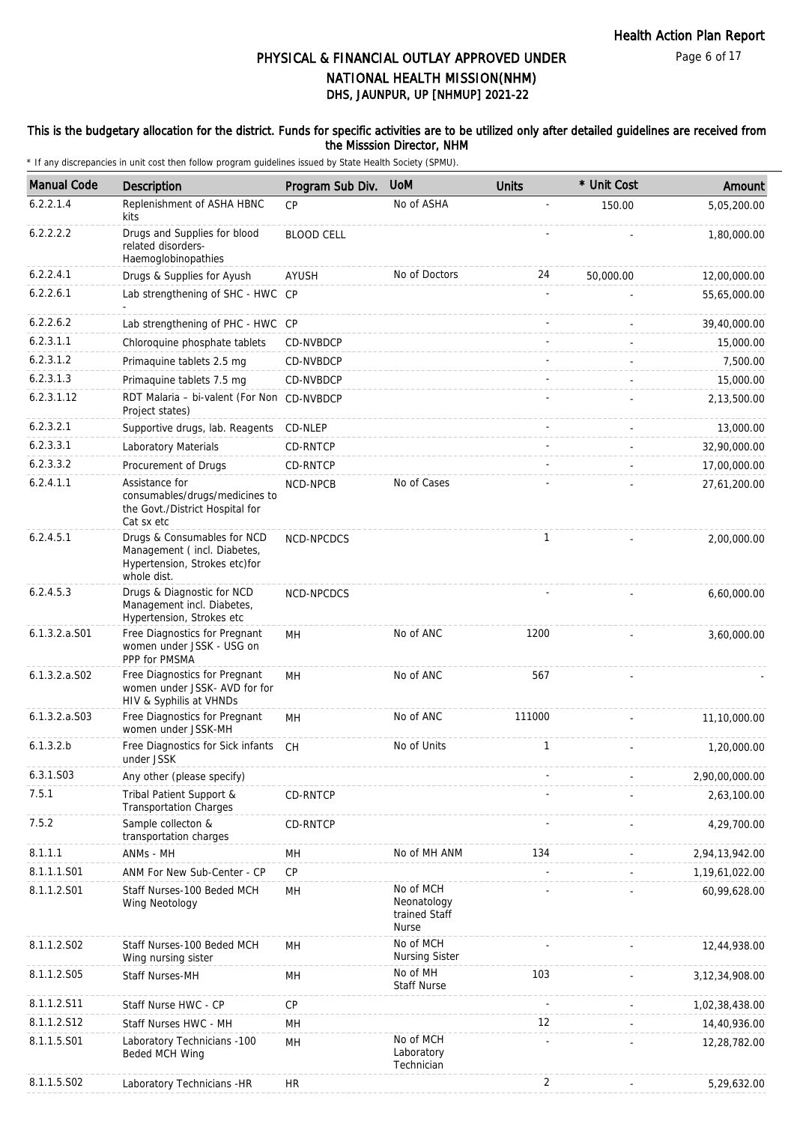#### This is the budgetary allocation for the district. Funds for specific activities are to be utilized only after detailed guidelines are received from the Misssion Director, NHM

| <b>Manual Code</b> | Description                                                                                                | Program Sub Div.  | <b>UoM</b>                                                | <b>Units</b> | * Unit Cost | Amount            |
|--------------------|------------------------------------------------------------------------------------------------------------|-------------------|-----------------------------------------------------------|--------------|-------------|-------------------|
| 6.2.2.1.4          | Replenishment of ASHA HBNC<br>kits                                                                         | <b>CP</b>         | No of ASHA                                                |              | 150.00      | 5,05,200.00       |
| 6.2.2.2.2          | Drugs and Supplies for blood<br>related disorders-<br>Haemoglobinopathies                                  | <b>BLOOD CELL</b> |                                                           |              |             | 1,80,000.00       |
| 6.2.2.4.1          | Drugs & Supplies for Ayush                                                                                 | AYUSH             | No of Doctors                                             | 24           | 50,000.00   | 12,00,000.00      |
| 6.2.2.6.1          | Lab strengthening of SHC - HWC CP                                                                          |                   |                                                           |              |             | 55,65,000.00      |
| 6.2.2.6.2          | Lab strengthening of PHC - HWC CP                                                                          |                   |                                                           |              |             | 39,40,000.00      |
| 6.2.3.1.1          | Chloroquine phosphate tablets                                                                              | CD-NVBDCP         |                                                           |              |             | 15,000.00         |
| 6.2.3.1.2          | Primaquine tablets 2.5 mg                                                                                  | CD-NVBDCP         |                                                           |              |             | 7,500.00          |
| 6.2.3.1.3          | Primaquine tablets 7.5 mg                                                                                  | CD-NVBDCP         |                                                           |              |             | 15,000.00         |
| 6.2.3.1.12         | RDT Malaria - bi-valent (For Non CD-NVBDCP<br>Project states)                                              |                   |                                                           |              |             | 2,13,500.00       |
| 6.2.3.2.1          | Supportive drugs, lab. Reagents                                                                            | CD-NLEP           |                                                           |              |             | 13,000.00         |
| 6.2.3.3.1          | Laboratory Materials                                                                                       | CD-RNTCP          |                                                           |              |             | 32,90,000.00      |
| 6.2.3.3.2          | Procurement of Drugs                                                                                       | CD-RNTCP          |                                                           |              |             | 17,00,000.00      |
| 6.2.4.1.1          | Assistance for<br>consumables/drugs/medicines to<br>the Govt./District Hospital for<br>Cat sx etc          | NCD-NPCB          | No of Cases                                               |              |             | 27,61,200.00      |
| 6.2.4.5.1          | Drugs & Consumables for NCD<br>Management (incl. Diabetes,<br>Hypertension, Strokes etc)for<br>whole dist. | NCD-NPCDCS        |                                                           | $\mathbf{1}$ |             | 2,00,000.00       |
| 6.2.4.5.3          | Drugs & Diagnostic for NCD<br>Management incl. Diabetes,<br>Hypertension, Strokes etc                      | NCD-NPCDCS        |                                                           |              |             | 6,60,000.00       |
| $6.1.3.2.a.$ S01   | Free Diagnostics for Pregnant<br>women under JSSK - USG on<br>PPP for PMSMA                                | MН                | No of ANC                                                 | 1200         |             | 3,60,000.00       |
| $6.1.3.2.a.$ SO2   | Free Diagnostics for Pregnant<br>women under JSSK- AVD for for<br>HIV & Syphilis at VHNDs                  | MH                | No of ANC                                                 | 567          |             |                   |
| 6.1.3.2.a.S03      | Free Diagnostics for Pregnant<br>women under JSSK-MH                                                       | MH                | No of ANC                                                 | 111000       |             | 11,10,000.00      |
| 6.1.3.2.b          | Free Diagnostics for Sick infants<br>under JSSK                                                            | CН                | No of Units                                               | $\mathbf{1}$ |             | 1,20,000.00       |
| 6.3.1.S03          | Any other (please specify)                                                                                 |                   |                                                           |              |             | 2,90,00,000.00    |
| 7.5.1              | Tribal Patient Support &<br><b>Transportation Charges</b>                                                  | CD-RNTCP          |                                                           |              |             | 2,63,100.00       |
| 7.5.2              | Sample collecton &<br>transportation charges                                                               | CD-RNTCP          |                                                           |              |             | 4,29,700.00       |
| 8.1.1.1            | ANMs - MH                                                                                                  | MН                | No of MH ANM                                              | 134          |             | 2,94,13,942.00    |
| 8.1.1.1.S01        | ANM For New Sub-Center - CP                                                                                | <b>CP</b>         |                                                           |              |             | 1,19,61,022.00    |
| 8.1.1.2.S01        | Staff Nurses-100 Beded MCH<br>Wing Neotology                                                               | MH                | No of MCH<br>Neonatology<br>trained Staff<br><b>Nurse</b> |              |             | 60,99,628.00      |
| 8.1.1.2.S02        | Staff Nurses-100 Beded MCH<br>Wing nursing sister                                                          | MН                | No of MCH<br><b>Nursing Sister</b>                        |              |             | 12,44,938.00      |
| 8.1.1.2.S05        | <b>Staff Nurses-MH</b>                                                                                     | MH                | No of MH<br><b>Staff Nurse</b>                            | 103          |             | 3, 12, 34, 908.00 |
| 8.1.1.2.S11        | Staff Nurse HWC - CP                                                                                       | <b>CP</b>         |                                                           |              |             | 1,02,38,438.00    |
| 8.1.1.2.S12        | Staff Nurses HWC - MH                                                                                      | MН                |                                                           | 12           |             | 14,40,936.00      |
| 8.1.1.5.S01        | Laboratory Technicians -100<br>Beded MCH Wing                                                              | MH                | No of MCH<br>Laboratory<br>Technician                     |              |             | 12,28,782.00      |
| 8.1.1.5.S02        | Laboratory Technicians -HR                                                                                 | HR.               |                                                           | 2            |             | 5,29,632.00       |
|                    |                                                                                                            |                   |                                                           |              |             |                   |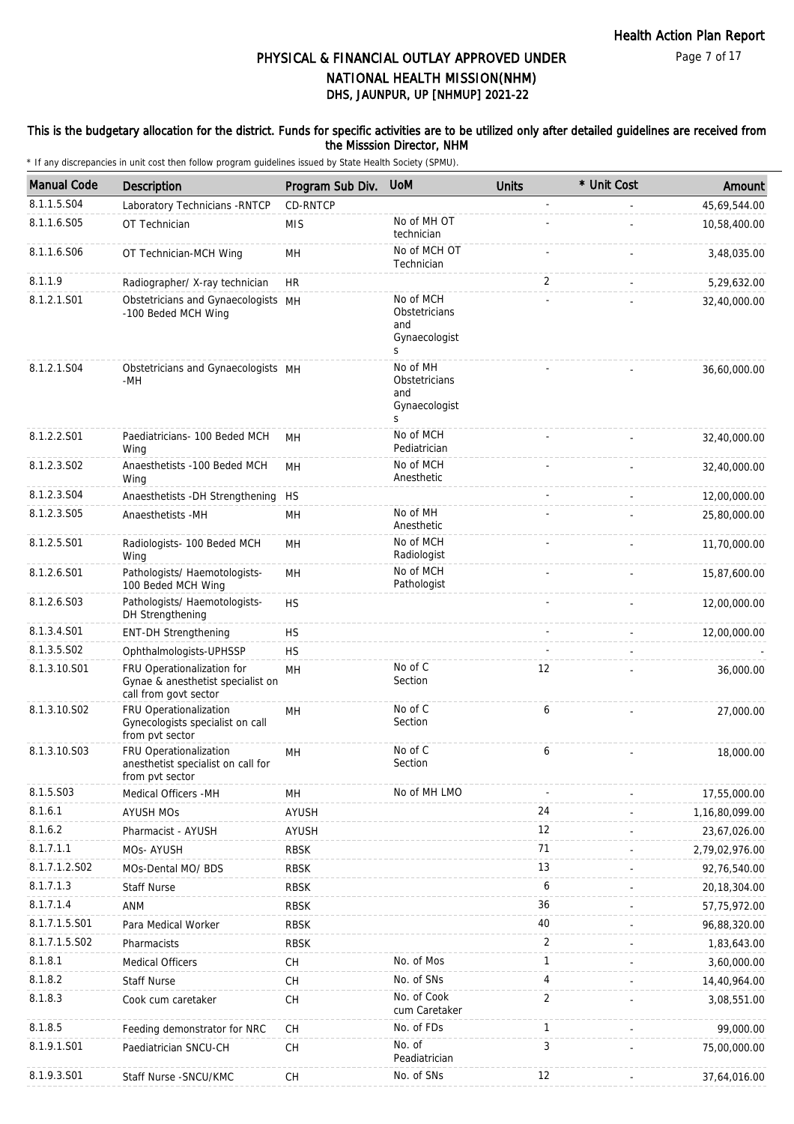#### This is the budgetary allocation for the district. Funds for specific activities are to be utilized only after detailed guidelines are received from the Misssion Director, NHM

| <b>Manual Code</b> | <b>Description</b>                                                                       | Program Sub Div. | <b>UoM</b>                                              | <b>Units</b>   | * Unit Cost | Amount         |
|--------------------|------------------------------------------------------------------------------------------|------------------|---------------------------------------------------------|----------------|-------------|----------------|
| 8.1.1.5.S04        | Laboratory Technicians - RNTCP                                                           | CD-RNTCP         |                                                         |                |             | 45,69,544.00   |
| 8.1.1.6.S05        | OT Technician                                                                            | <b>MIS</b>       | No of MH OT<br>technician                               |                |             | 10,58,400.00   |
| 8.1.1.6.S06        | OT Technician-MCH Wing                                                                   | MН               | No of MCH OT<br>Technician                              |                |             | 3,48,035.00    |
| 8.1.1.9            | Radiographer/ X-ray technician                                                           | <b>HR</b>        |                                                         | 2              |             | 5,29,632.00    |
| 8.1.2.1.S01        | Obstetricians and Gynaecologists MH<br>-100 Beded MCH Wing                               |                  | No of MCH<br>Obstetricians<br>and<br>Gynaecologist<br>S |                |             | 32,40,000.00   |
| 8.1.2.1.S04        | Obstetricians and Gynaecologists MH<br>-MH                                               |                  | No of MH<br>Obstetricians<br>and<br>Gynaecologist<br>S  |                |             | 36,60,000.00   |
| 8.1.2.2.S01        | Paediatricians- 100 Beded MCH<br>Wing                                                    | MН               | No of MCH<br>Pediatrician                               |                |             | 32,40,000.00   |
| 8.1.2.3.S02        | Anaesthetists -100 Beded MCH<br>Wing                                                     | MН               | No of MCH<br>Anesthetic                                 |                |             | 32,40,000.00   |
| 8.1.2.3.S04        | Anaesthetists -DH Strengthening                                                          | <b>HS</b>        |                                                         |                |             | 12,00,000.00   |
| 8.1.2.3.S05        | Anaesthetists -MH                                                                        | MН               | No of MH<br>Anesthetic                                  |                |             | 25,80,000.00   |
| 8.1.2.5.S01        | Radiologists- 100 Beded MCH<br>Wing                                                      | MН               | No of MCH<br>Radiologist                                |                |             | 11,70,000.00   |
| 8.1.2.6.S01        | Pathologists/ Haemotologists-<br>100 Beded MCH Wing                                      | MН               | No of MCH<br>Pathologist                                |                |             | 15,87,600.00   |
| 8.1.2.6.S03        | Pathologists/ Haemotologists-<br>DH Strengthening                                        | <b>HS</b>        |                                                         |                |             | 12,00,000.00   |
| 8.1.3.4.S01        | <b>ENT-DH Strengthening</b>                                                              | <b>HS</b>        |                                                         |                |             | 12,00,000.00   |
| 8.1.3.5.SO2        | Ophthalmologists-UPHSSP                                                                  | <b>HS</b>        |                                                         |                |             |                |
| 8.1.3.10.S01       | FRU Operationalization for<br>Gynae & anesthetist specialist on<br>call from govt sector | MH               | No of C<br>Section                                      | 12             |             | 36,000.00      |
| 8.1.3.10.S02       | FRU Operationalization<br>Gynecologists specialist on call<br>from pvt sector            | MH               | No of C<br>Section                                      | 6              |             | 27,000.00      |
| 8.1.3.10.S03       | FRU Operationalization<br>anesthetist specialist on call for<br>from pvt sector          | MН               | No of C<br>Section                                      | 6              |             | 18,000.00      |
| 8.1.5.S03          | Medical Officers -MH                                                                     | MН               | No of MH LMO                                            |                |             | 17,55,000.00   |
| 8.1.6.1            | <b>AYUSH MOs</b>                                                                         | AYUSH            |                                                         | 24             |             | 1,16,80,099.00 |
| 8.1.6.2            | Pharmacist - AYUSH                                                                       | AYUSH            |                                                         | 12             |             | 23,67,026.00   |
| 8.1.7.1.1          | MOs- AYUSH                                                                               | RBSK             |                                                         | 71             |             | 2,79,02,976.00 |
| 8.1.7.1.2.S02      | MOs-Dental MO/ BDS                                                                       | <b>RBSK</b>      |                                                         | 13             |             | 92,76,540.00   |
| 8.1.7.1.3          | <b>Staff Nurse</b>                                                                       | <b>RBSK</b>      |                                                         | 6              |             | 20, 18, 304.00 |
| 8.1.7.1.4          | ANM                                                                                      | <b>RBSK</b>      |                                                         | 36             |             | 57,75,972.00   |
| 8.1.7.1.5.S01      | Para Medical Worker                                                                      | <b>RBSK</b>      |                                                         | 40             |             | 96,88,320.00   |
| 8.1.7.1.5.S02      | Pharmacists                                                                              | <b>RBSK</b>      |                                                         | 2              |             | 1,83,643.00    |
| 8.1.8.1            | Medical Officers                                                                         | <b>CH</b>        | No. of Mos                                              | $\mathbf{1}$   |             | 3,60,000.00    |
| 8.1.8.2            | <b>Staff Nurse</b>                                                                       | CH               | No. of SNs                                              | 4              |             | 14,40,964.00   |
| 8.1.8.3            | Cook cum caretaker                                                                       | CH               | No. of Cook<br>cum Caretaker                            | $\overline{2}$ |             | 3,08,551.00    |
| 8.1.8.5            | Feeding demonstrator for NRC                                                             | CH               | No. of FDs                                              | 1              |             | 99,000.00      |
| 8.1.9.1.S01        | Paediatrician SNCU-CH                                                                    | <b>CH</b>        | No. of<br>Peadiatrician                                 | 3              |             | 75,00,000.00   |
| 8.1.9.3.S01        | Staff Nurse - SNCU/KMC                                                                   | CH               | No. of SNs                                              | 12             |             | 37,64,016.00   |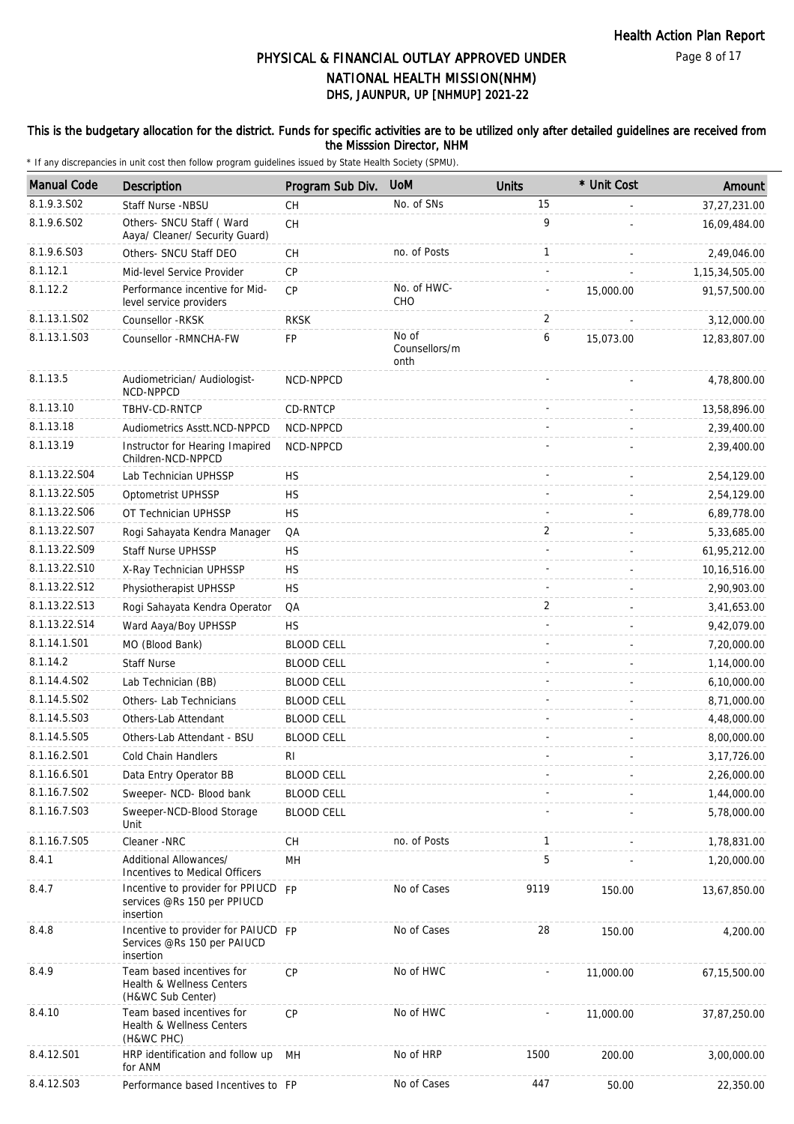#### This is the budgetary allocation for the district. Funds for specific activities are to be utilized only after detailed guidelines are received from the Misssion Director, NHM

| <b>Manual Code</b> | Description                                                                     | Program Sub Div.  | <b>UoM</b>                     | <b>Units</b> | * Unit Cost | Amount            |
|--------------------|---------------------------------------------------------------------------------|-------------------|--------------------------------|--------------|-------------|-------------------|
| 8.1.9.3.SO2        | Staff Nurse -NBSU                                                               | CH                | No. of SNs                     | 15           |             | 37,27,231.00      |
| 8.1.9.6.S02        | Others- SNCU Staff ( Ward<br>Aaya/ Cleaner/ Security Guard)                     | CH                |                                | 9            |             | 16,09,484.00      |
| 8.1.9.6.S03        | Others- SNCU Staff DEO                                                          | CH                | no. of Posts                   | $\mathbf{1}$ |             | 2,49,046.00       |
| 8.1.12.1           | Mid-level Service Provider                                                      | CP                |                                |              |             | 1, 15, 34, 505.00 |
| 8.1.12.2           | Performance incentive for Mid-<br>level service providers                       | <b>CP</b>         | No. of HWC-<br>CHO             |              | 15,000.00   | 91,57,500.00      |
| 8.1.13.1.S02       | Counsellor - RKSK                                                               | <b>RKSK</b>       |                                | 2            |             | 3,12,000.00       |
| 8.1.13.1.S03       | Counsellor - RMNCHA-FW                                                          | FP                | No of<br>Counsellors/m<br>onth | 6            | 15,073.00   | 12,83,807.00      |
| 8.1.13.5           | Audiometrician/ Audiologist-<br>NCD-NPPCD                                       | NCD-NPPCD         |                                |              |             | 4,78,800.00       |
| 8.1.13.10          | TBHV-CD-RNTCP                                                                   | CD-RNTCP          |                                |              |             | 13,58,896.00      |
| 8.1.13.18          | Audiometrics Asstt.NCD-NPPCD                                                    | NCD-NPPCD         |                                |              |             | 2,39,400.00       |
| 8.1.13.19          | Instructor for Hearing Imapired<br>Children-NCD-NPPCD                           | NCD-NPPCD         |                                |              |             | 2,39,400.00       |
| 8.1.13.22.S04      | Lab Technician UPHSSP                                                           | <b>HS</b>         |                                |              |             | 2,54,129.00       |
| 8.1.13.22.S05      | Optometrist UPHSSP                                                              | <b>HS</b>         |                                |              |             | 2,54,129.00       |
| 8.1.13.22.S06      | OT Technician UPHSSP                                                            | <b>HS</b>         |                                |              |             | 6,89,778.00       |
| 8.1.13.22.S07      | Rogi Sahayata Kendra Manager                                                    | QA                |                                | 2            |             | 5,33,685.00       |
| 8.1.13.22.S09      | <b>Staff Nurse UPHSSP</b>                                                       | <b>HS</b>         |                                |              |             | 61,95,212.00      |
| 8.1.13.22.S10      | X-Ray Technician UPHSSP                                                         | <b>HS</b>         |                                |              |             | 10, 16, 516.00    |
| 8.1.13.22.S12      | Physiotherapist UPHSSP                                                          | <b>HS</b>         |                                |              |             | 2,90,903.00       |
| 8.1.13.22.S13      | Rogi Sahayata Kendra Operator                                                   | QA                |                                | 2            |             | 3,41,653.00       |
| 8.1.13.22.S14      | Ward Aaya/Boy UPHSSP                                                            | <b>HS</b>         |                                |              |             | 9,42,079.00       |
| 8.1.14.1.S01       | MO (Blood Bank)                                                                 | <b>BLOOD CELL</b> |                                |              |             | 7,20,000.00       |
| 8.1.14.2           | <b>Staff Nurse</b>                                                              | <b>BLOOD CELL</b> |                                |              |             | 1,14,000.00       |
| 8.1.14.4.S02       | Lab Technician (BB)                                                             | <b>BLOOD CELL</b> |                                |              |             | 6,10,000.00       |
| 8.1.14.5.S02       | Others- Lab Technicians                                                         | <b>BLOOD CELL</b> |                                |              |             | 8,71,000.00       |
| 8.1.14.5.S03       | Others-Lab Attendant                                                            | <b>BLOOD CELL</b> |                                |              |             | 4,48,000.00       |
| 8.1.14.5.S05       | Others-Lab Attendant - BSU                                                      | <b>BLOOD CELL</b> |                                |              |             | 8,00,000.00       |
| 8.1.16.2.S01       | <b>Cold Chain Handlers</b>                                                      | RI                |                                |              |             | 3, 17, 726.00     |
| 8.1.16.6.S01       | Data Entry Operator BB                                                          | <b>BLOOD CELL</b> |                                |              |             | 2,26,000.00       |
| 8.1.16.7.S02       | Sweeper- NCD- Blood bank                                                        | <b>BLOOD CELL</b> |                                |              |             | 1,44,000.00       |
| 8.1.16.7.S03       | Sweeper-NCD-Blood Storage<br>Unit                                               | <b>BLOOD CELL</b> |                                |              |             | 5,78,000.00       |
| 8.1.16.7.S05       | Cleaner -NRC                                                                    | CH                | no. of Posts                   | $\mathbf{1}$ |             | 1,78,831.00       |
| 8.4.1              | Additional Allowances/<br>Incentives to Medical Officers                        | MH                |                                | 5            |             | 1,20,000.00       |
| 8.4.7              | Incentive to provider for PPIUCD FP<br>services @Rs 150 per PPIUCD<br>insertion |                   | No of Cases                    | 9119         | 150.00      | 13,67,850.00      |
| 8.4.8              | Incentive to provider for PAIUCD FP<br>Services @Rs 150 per PAIUCD<br>insertion |                   | No of Cases                    | 28           | 150.00      | 4,200.00          |
| 8.4.9              | Team based incentives for<br>Health & Wellness Centers<br>(H&WC Sub Center)     | <b>CP</b>         | No of HWC                      |              | 11,000.00   | 67, 15, 500.00    |
| 8.4.10             | Team based incentives for<br>Health & Wellness Centers<br>(H&WC PHC)            | CP                | No of HWC                      |              | 11,000.00   | 37,87,250.00      |
| 8.4.12.S01         | HRP identification and follow up<br>for ANM                                     | MH                | No of HRP                      | 1500         | 200.00      | 3,00,000.00       |
| 8.4.12.S03         | Performance based Incentives to FP                                              |                   | No of Cases                    | 447          | 50.00       | 22,350.00         |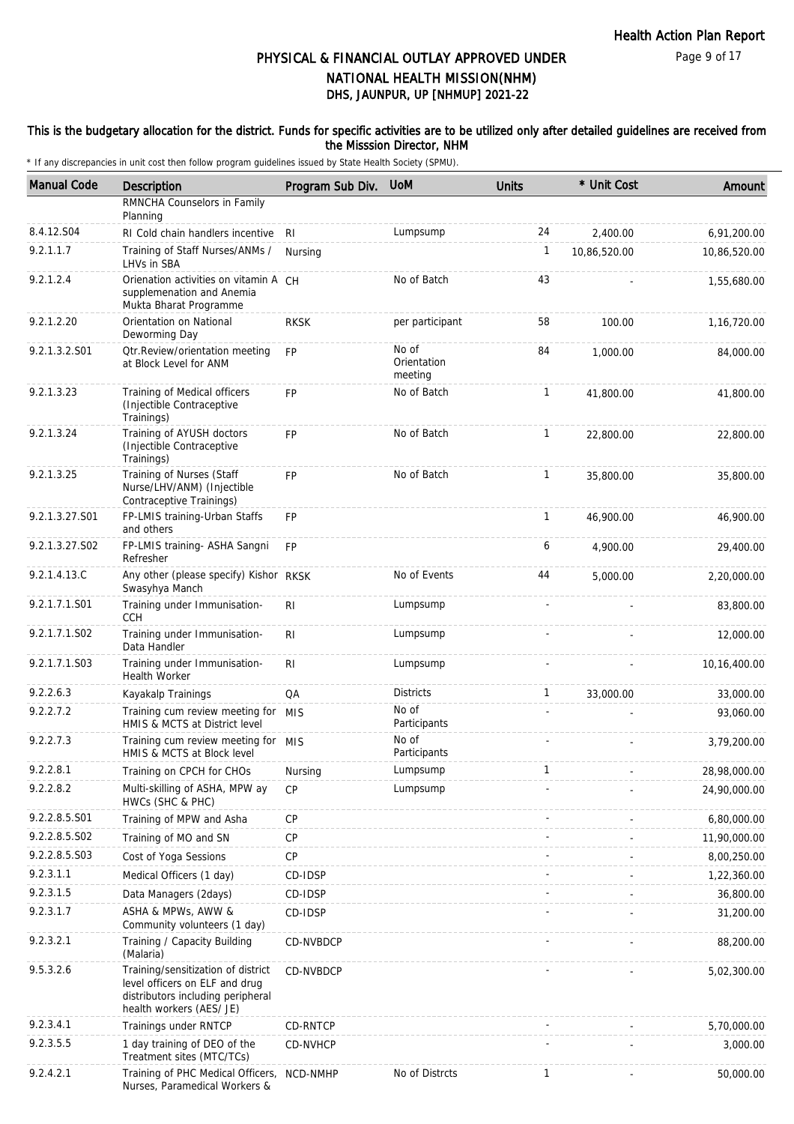#### This is the budgetary allocation for the district. Funds for specific activities are to be utilized only after detailed guidelines are received from the Misssion Director, NHM

| <b>Manual Code</b> | Description                                                                                                                           | Program Sub Div. | <b>UoM</b>                      | <b>Units</b> | * Unit Cost  | Amount       |
|--------------------|---------------------------------------------------------------------------------------------------------------------------------------|------------------|---------------------------------|--------------|--------------|--------------|
|                    | RMNCHA Counselors in Family<br>Planning                                                                                               |                  |                                 |              |              |              |
| 8.4.12.S04         | RI Cold chain handlers incentive                                                                                                      | RI               | Lumpsump                        | 24           | 2,400.00     | 6,91,200.00  |
| 9.2.1.1.7          | Training of Staff Nurses/ANMs /<br>LHVs in SBA                                                                                        | Nursing          |                                 | $\mathbf{1}$ | 10,86,520.00 | 10,86,520.00 |
| 9.2.1.2.4          | Orienation activities on vitamin A CH<br>supplemenation and Anemia<br>Mukta Bharat Programme                                          |                  | No of Batch                     | 43           |              | 1,55,680.00  |
| 9.2.1.2.20         | Orientation on National<br>Deworming Day                                                                                              | <b>RKSK</b>      | per participant                 | 58           | 100.00       | 1,16,720.00  |
| 9.2.1.3.2.S01      | <b>Qtr.Review/orientation meeting</b><br>at Block Level for ANM                                                                       | <b>FP</b>        | No of<br>Orientation<br>meeting | 84           | 1,000.00     | 84,000.00    |
| 9.2.1.3.23         | Training of Medical officers<br>(Injectible Contraceptive<br>Trainings)                                                               | <b>FP</b>        | No of Batch                     | $\mathbf{1}$ | 41,800.00    | 41,800.00    |
| 9.2.1.3.24         | Training of AYUSH doctors<br>(Injectible Contraceptive<br>Trainings)                                                                  | <b>FP</b>        | No of Batch                     | $\mathbf{1}$ | 22,800.00    | 22,800.00    |
| 9.2.1.3.25         | Training of Nurses (Staff<br>Nurse/LHV/ANM) (Injectible<br>Contraceptive Trainings)                                                   | FP               | No of Batch                     | $\mathbf{1}$ | 35,800.00    | 35,800.00    |
| 9.2.1.3.27.S01     | FP-LMIS training-Urban Staffs<br>and others                                                                                           | <b>FP</b>        |                                 | $\mathbf{1}$ | 46,900.00    | 46,900.00    |
| 9.2.1.3.27.S02     | FP-LMIS training- ASHA Sangni<br>Refresher                                                                                            | <b>FP</b>        |                                 | 6            | 4,900.00     | 29,400.00    |
| 9.2.1.4.13.C       | Any other (please specify) Kishor RKSK<br>Swasyhya Manch                                                                              |                  | No of Events                    | 44           | 5,000.00     | 2,20,000.00  |
| 9.2.1.7.1.S01      | Training under Immunisation-<br><b>CCH</b>                                                                                            | RI.              | Lumpsump                        |              |              | 83,800.00    |
| 9.2.1.7.1.S02      | Training under Immunisation-<br>Data Handler                                                                                          | <b>RI</b>        | Lumpsump                        |              |              | 12,000.00    |
| 9.2.1.7.1.S03      | Training under Immunisation-<br><b>Health Worker</b>                                                                                  | <b>RI</b>        | Lumpsump                        |              |              | 10,16,400.00 |
| 9.2.2.6.3          | Kayakalp Trainings                                                                                                                    | QA               | <b>Districts</b>                | $\mathbf{1}$ | 33,000.00    | 33,000.00    |
| 9.2.2.7.2          | Training cum review meeting for MIS<br>HMIS & MCTS at District level                                                                  |                  | No of<br>Participants           |              |              | 93,060.00    |
| 9.2.2.7.3          | Training cum review meeting for MIS<br>HMIS & MCTS at Block level                                                                     |                  | No of<br>Participants           |              |              | 3,79,200.00  |
| 9.2.2.8.1          | Training on CPCH for CHOs                                                                                                             | Nursing          | Lumpsump                        |              |              | 28,98,000.00 |
| 9.2.2.8.2          | Multi-skilling of ASHA, MPW ay<br>HWCs (SHC & PHC)                                                                                    | <b>CP</b>        | Lumpsump                        |              |              | 24,90,000.00 |
| 9.2.2.8.5.S01      | Training of MPW and Asha                                                                                                              | <b>CP</b>        |                                 |              |              | 6,80,000.00  |
| 9.2.2.8.5.S02      | Training of MO and SN                                                                                                                 | <b>CP</b>        |                                 |              |              | 11,90,000.00 |
| 9.2.2.8.5.S03      | Cost of Yoga Sessions                                                                                                                 | <b>CP</b>        |                                 |              |              | 8,00,250.00  |
| 9.2.3.1.1          | Medical Officers (1 day)                                                                                                              | CD-IDSP          |                                 |              |              | 1,22,360.00  |
| 9.2.3.1.5          | Data Managers (2days)                                                                                                                 | CD-IDSP          |                                 |              |              | 36,800.00    |
| 9.2.3.1.7          | ASHA & MPWs, AWW &<br>Community volunteers (1 day)                                                                                    | CD-IDSP          |                                 |              |              | 31,200.00    |
| 9.2.3.2.1          | Training / Capacity Building<br>(Malaria)                                                                                             | CD-NVBDCP        |                                 |              |              | 88,200.00    |
| 9.5.3.2.6          | Training/sensitization of district<br>level officers on ELF and drug<br>distributors including peripheral<br>health workers (AES/ JE) | CD-NVBDCP        |                                 |              |              | 5,02,300.00  |
| 9.2.3.4.1          | Trainings under RNTCP                                                                                                                 | CD-RNTCP         |                                 |              |              | 5,70,000.00  |
| 9.2.3.5.5          | 1 day training of DEO of the<br>Treatment sites (MTC/TCs)                                                                             | CD-NVHCP         |                                 |              |              | 3,000.00     |
| 9.2.4.2.1          | Training of PHC Medical Officers,<br>Nurses, Paramedical Workers &                                                                    | NCD-NMHP         | No of Distrcts                  | $\mathbf{1}$ |              | 50,000.00    |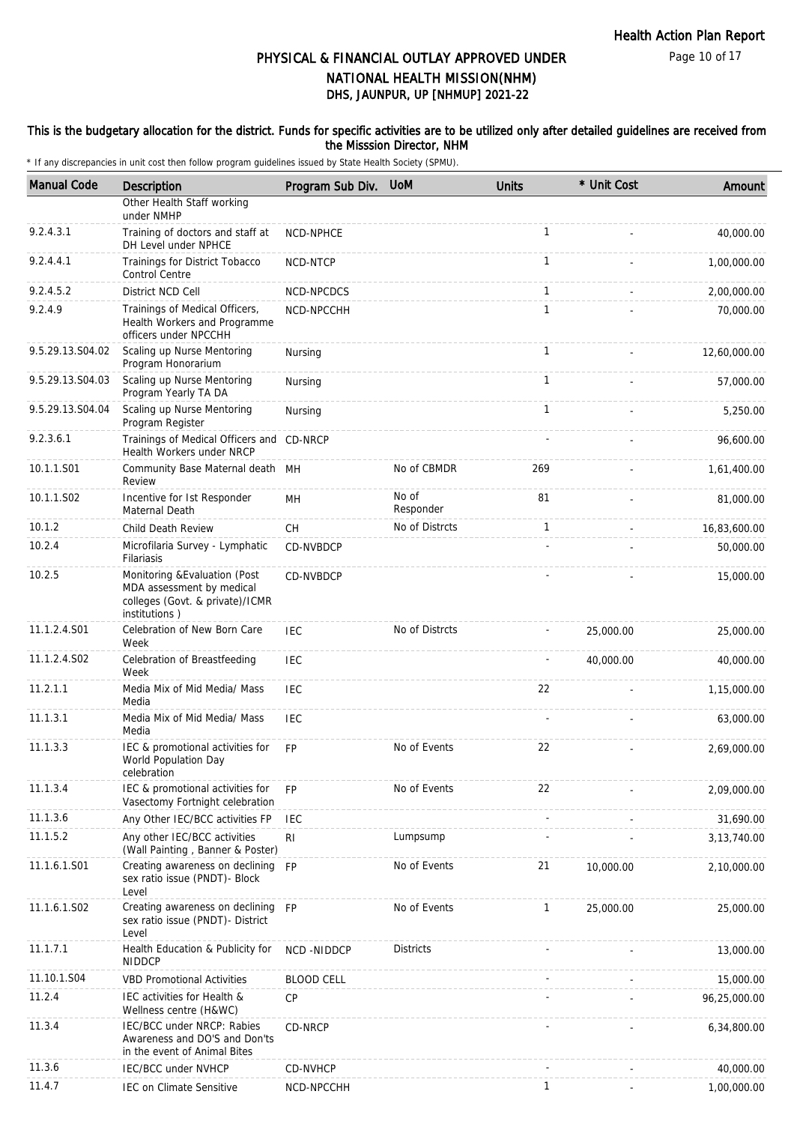#### This is the budgetary allocation for the district. Funds for specific activities are to be utilized only after detailed guidelines are received from the Misssion Director, NHM

| <b>Manual Code</b> | Description                                                                                                    | Program Sub Div.  | <b>UoM</b>         | <b>Units</b> | * Unit Cost | Amount        |
|--------------------|----------------------------------------------------------------------------------------------------------------|-------------------|--------------------|--------------|-------------|---------------|
|                    | Other Health Staff working<br>under NMHP                                                                       |                   |                    |              |             |               |
| 9.2.4.3.1          | Training of doctors and staff at<br>DH Level under NPHCE                                                       | NCD-NPHCE         |                    | 1            |             | 40,000.00     |
| 9.2.4.4.1          | Trainings for District Tobacco<br><b>Control Centre</b>                                                        | NCD-NTCP          |                    | $\mathbf{1}$ |             | 1,00,000.00   |
| 9.2.4.5.2          | District NCD Cell                                                                                              | NCD-NPCDCS        |                    | $\mathbf{1}$ |             | 2,00,000.00   |
| 9.2.4.9            | Trainings of Medical Officers,<br>Health Workers and Programme<br>officers under NPCCHH                        | NCD-NPCCHH        |                    | $\mathbf{1}$ |             | 70,000.00     |
| 9.5.29.13.S04.02   | Scaling up Nurse Mentoring<br>Program Honorarium                                                               | Nursing           |                    | $\mathbf{1}$ |             | 12,60,000.00  |
| 9.5.29.13.S04.03   | Scaling up Nurse Mentoring<br>Program Yearly TA DA                                                             | Nursing           |                    | $\mathbf{1}$ |             | 57,000.00     |
| 9.5.29.13.S04.04   | Scaling up Nurse Mentoring<br>Program Register                                                                 | Nursing           |                    | $\mathbf{1}$ |             | 5,250.00      |
| 9.2.3.6.1          | Trainings of Medical Officers and CD-NRCP<br>Health Workers under NRCP                                         |                   |                    |              |             | 96,600.00     |
| 10.1.1.S01         | Community Base Maternal death MH<br>Review                                                                     |                   | No of CBMDR        | 269          |             | 1,61,400.00   |
| 10.1.1.S02         | Incentive for Ist Responder<br>Maternal Death                                                                  | MН                | No of<br>Responder | 81           |             | 81,000.00     |
| 10.1.2             | Child Death Review                                                                                             | СH                | No of Distrcts     | 1            |             | 16,83,600.00  |
| 10.2.4             | Microfilaria Survey - Lymphatic<br>Filariasis                                                                  | CD-NVBDCP         |                    |              |             | 50,000.00     |
| 10.2.5             | Monitoring & Evaluation (Post<br>MDA assessment by medical<br>colleges (Govt. & private)/ICMR<br>institutions) | CD-NVBDCP         |                    |              |             | 15,000.00     |
| 11.1.2.4.S01       | Celebration of New Born Care<br>Week                                                                           | <b>IEC</b>        | No of Distrcts     |              | 25,000.00   | 25,000.00     |
| 11.1.2.4.S02       | Celebration of Breastfeeding<br>Week                                                                           | <b>IEC</b>        |                    |              | 40,000.00   | 40,000.00     |
| 11.2.1.1           | Media Mix of Mid Media/ Mass<br>Media                                                                          | IEC               |                    | 22           |             | 1,15,000.00   |
| 11.1.3.1           | Media Mix of Mid Media/ Mass<br>Media                                                                          | <b>IEC</b>        |                    |              |             | 63,000.00     |
| 11.1.3.3           | IEC & promotional activities for<br>World Population Day<br>celebration                                        | <b>FP</b>         | No of Events       | 22           |             | 2,69,000.00   |
| 11.1.3.4           | IEC & promotional activities for<br>Vasectomy Fortnight celebration                                            | FP                | No of Events       | 22           |             | 2,09,000.00   |
| 11.1.3.6           | Any Other IEC/BCC activities FP                                                                                | <b>IEC</b>        |                    |              |             | 31,690.00     |
| 11.1.5.2           | Any other IEC/BCC activities<br>(Wall Painting, Banner & Poster)                                               | R <sub>l</sub>    | Lumpsump           |              |             | 3, 13, 740.00 |
| 11.1.6.1.S01       | Creating awareness on declining<br>sex ratio issue (PNDT)- Block<br>Level                                      | <b>FP</b>         | No of Events       | 21           | 10,000.00   | 2,10,000.00   |
| 11.1.6.1.S02       | Creating awareness on declining<br>sex ratio issue (PNDT)- District<br>Level                                   | <b>FP</b>         | No of Events       | 1            | 25,000.00   | 25,000.00     |
| 11.1.7.1           | Health Education & Publicity for<br><b>NIDDCP</b>                                                              | NCD-NIDDCP        | <b>Districts</b>   |              |             | 13,000.00     |
| 11.10.1.S04        | <b>VBD Promotional Activities</b>                                                                              | <b>BLOOD CELL</b> |                    |              |             | 15,000.00     |
| 11.2.4             | IEC activities for Health &<br>Wellness centre (H&WC)                                                          | CP                |                    |              |             | 96,25,000.00  |
| 11.3.4             | IEC/BCC under NRCP: Rabies<br>Awareness and DO'S and Don'ts<br>in the event of Animal Bites                    | CD-NRCP           |                    |              |             | 6,34,800.00   |
| 11.3.6             | <b>IEC/BCC under NVHCP</b>                                                                                     | CD-NVHCP          |                    |              |             | 40,000.00     |
| 11.4.7             | IEC on Climate Sensitive                                                                                       | NCD-NPCCHH        |                    | 1            |             | 1,00,000.00   |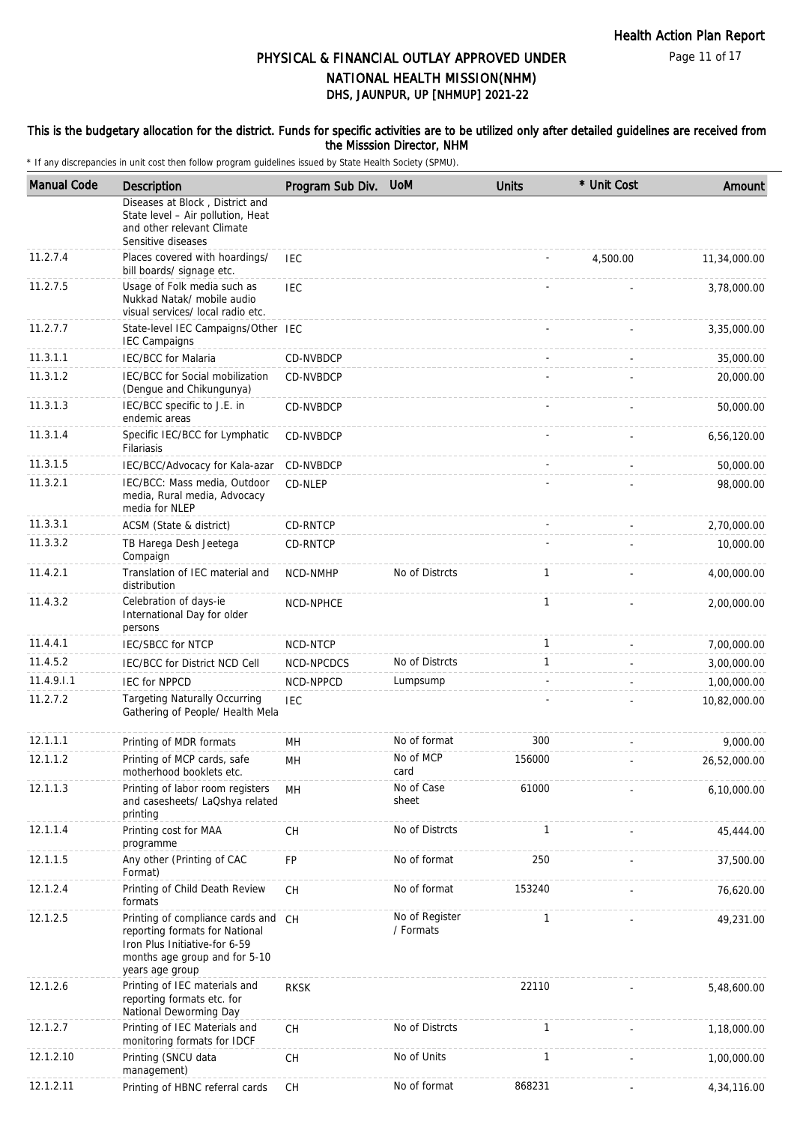#### This is the budgetary allocation for the district. Funds for specific activities are to be utilized only after detailed guidelines are received from the Misssion Director, NHM

| <b>Manual Code</b> | Description                                                                                                                                                | Program Sub Div. | <b>UoM</b>                  | <b>Units</b>             | * Unit Cost | Amount       |
|--------------------|------------------------------------------------------------------------------------------------------------------------------------------------------------|------------------|-----------------------------|--------------------------|-------------|--------------|
|                    | Diseases at Block, District and<br>State level - Air pollution, Heat<br>and other relevant Climate<br>Sensitive diseases                                   |                  |                             |                          |             |              |
| 11.2.7.4           | Places covered with hoardings/<br>bill boards/ signage etc.                                                                                                | <b>IEC</b>       |                             |                          | 4,500.00    | 11,34,000.00 |
| 11.2.7.5           | Usage of Folk media such as<br>Nukkad Natak/ mobile audio<br>visual services/ local radio etc.                                                             | IEC              |                             |                          |             | 3,78,000.00  |
| 11.2.7.7           | State-level IEC Campaigns/Other IEC<br><b>IEC Campaigns</b>                                                                                                |                  |                             |                          |             | 3,35,000.00  |
| 11.3.1.1           | <b>IEC/BCC</b> for Malaria                                                                                                                                 | CD-NVBDCP        |                             |                          |             | 35,000.00    |
| 11.3.1.2           | IEC/BCC for Social mobilization<br>(Dengue and Chikungunya)                                                                                                | CD-NVBDCP        |                             |                          |             | 20,000.00    |
| 11.3.1.3           | IEC/BCC specific to J.E. in<br>endemic areas                                                                                                               | CD-NVBDCP        |                             |                          |             | 50,000.00    |
| 11.3.1.4           | Specific IEC/BCC for Lymphatic<br>Filariasis                                                                                                               | CD-NVBDCP        |                             |                          |             | 6,56,120.00  |
| 11.3.1.5           | IEC/BCC/Advocacy for Kala-azar                                                                                                                             | CD-NVBDCP        |                             |                          |             | 50,000.00    |
| 11.3.2.1           | IEC/BCC: Mass media, Outdoor<br>media, Rural media, Advocacy<br>media for NLEP                                                                             | CD-NLEP          |                             |                          |             | 98,000.00    |
| 11.3.3.1           | ACSM (State & district)                                                                                                                                    | CD-RNTCP         |                             |                          |             | 2,70,000.00  |
| 11.3.3.2           | TB Harega Desh Jeetega<br>Compaign                                                                                                                         | CD-RNTCP         |                             |                          |             | 10,000.00    |
| 11.4.2.1           | Translation of IEC material and<br>distribution                                                                                                            | <b>NCD-NMHP</b>  | No of Distrcts              | $\mathbf{1}$             |             | 4,00,000.00  |
| 11.4.3.2           | Celebration of days-ie<br>International Day for older<br>persons                                                                                           | NCD-NPHCE        |                             | 1                        |             | 2,00,000.00  |
| 11.4.4.1           | <b>IEC/SBCC for NTCP</b>                                                                                                                                   | NCD-NTCP         |                             | 1                        |             | 7,00,000.00  |
| 11.4.5.2           | IEC/BCC for District NCD Cell                                                                                                                              | NCD-NPCDCS       | No of Distrcts              | 1                        |             | 3,00,000.00  |
| 11.4.9.1.1         | <b>IEC for NPPCD</b>                                                                                                                                       | NCD-NPPCD        | Lumpsump                    | $\overline{\phantom{a}}$ |             | 1,00,000.00  |
| 11.2.7.2           | <b>Targeting Naturally Occurring</b><br>Gathering of People/ Health Mela                                                                                   | <b>IEC</b>       |                             |                          |             | 10,82,000.00 |
| 12.1.1.1           | Printing of MDR formats                                                                                                                                    | MH               | No of format                | 300                      |             | 9,000.00     |
| 12.1.1.2           | Printing of MCP cards, safe<br>motherhood booklets etc.                                                                                                    | MН               | No of MCP<br>card           | 156000                   |             | 26,52,000.00 |
| 12.1.1.3           | Printing of labor room registers<br>and casesheets/ LaQshya related<br>printing                                                                            | MH               | No of Case<br>sheet         | 61000                    |             | 6,10,000.00  |
| 12.1.1.4           | Printing cost for MAA<br>programme                                                                                                                         | CH               | No of Distrcts              | 1                        |             | 45,444.00    |
| 12.1.1.5           | Any other (Printing of CAC<br>Format)                                                                                                                      | <b>FP</b>        | No of format                | 250                      |             | 37,500.00    |
| 12.1.2.4           | Printing of Child Death Review<br>formats                                                                                                                  | CH               | No of format                | 153240                   |             | 76,620.00    |
| 12.1.2.5           | Printing of compliance cards and CH<br>reporting formats for National<br>Iron Plus Initiative-for 6-59<br>months age group and for 5-10<br>years age group |                  | No of Register<br>/ Formats | 1                        |             | 49,231.00    |
| 12.1.2.6           | Printing of IEC materials and<br>reporting formats etc. for<br>National Deworming Day                                                                      | <b>RKSK</b>      |                             | 22110                    |             | 5,48,600.00  |
| 12.1.2.7           | Printing of IEC Materials and<br>monitoring formats for IDCF                                                                                               | <b>CH</b>        | No of Distrcts              | 1                        |             | 1,18,000.00  |
| 12.1.2.10          | Printing (SNCU data<br>management)                                                                                                                         | CH               | No of Units                 | 1                        |             | 1,00,000.00  |
| 12.1.2.11          | Printing of HBNC referral cards                                                                                                                            | CH               | No of format                | 868231                   |             | 4,34,116.00  |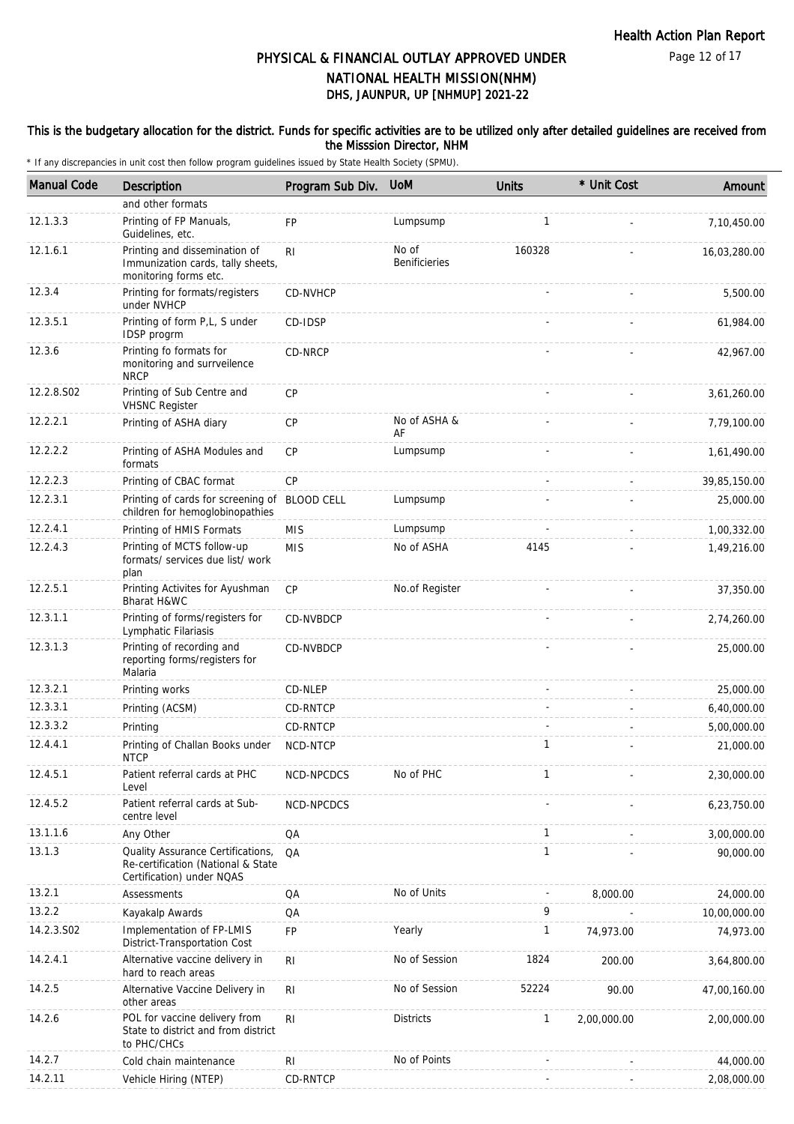#### This is the budgetary allocation for the district. Funds for specific activities are to be utilized only after detailed guidelines are received from the Misssion Director, NHM

| <b>Manual Code</b> | Description                                                                                          | Program Sub Div. | <b>UoM</b>                    | <b>Units</b> | * Unit Cost | Amount       |
|--------------------|------------------------------------------------------------------------------------------------------|------------------|-------------------------------|--------------|-------------|--------------|
|                    | and other formats                                                                                    |                  |                               |              |             |              |
| 12.1.3.3           | Printing of FP Manuals,<br>Guidelines, etc.                                                          | <b>FP</b>        | Lumpsump                      | 1            |             | 7,10,450.00  |
| 12.1.6.1           | Printing and dissemination of<br>Immunization cards, tally sheets,<br>monitoring forms etc.          | R <sub>l</sub>   | No of<br><b>Benificieries</b> | 160328       |             | 16,03,280.00 |
| 12.3.4             | Printing for formats/registers<br>under NVHCP                                                        | CD-NVHCP         |                               |              |             | 5,500.00     |
| 12.3.5.1           | Printing of form P,L, S under<br>IDSP progrm                                                         | CD-IDSP          |                               |              |             | 61,984.00    |
| 12.3.6             | Printing fo formats for<br>monitoring and surrveilence<br><b>NRCP</b>                                | CD-NRCP          |                               |              |             | 42,967.00    |
| 12.2.8.S02         | Printing of Sub Centre and<br><b>VHSNC Register</b>                                                  | CP               |                               |              |             | 3,61,260.00  |
| 12.2.2.1           | Printing of ASHA diary                                                                               | CP               | No of ASHA &<br>AF            |              |             | 7,79,100.00  |
| 12.2.2.2           | Printing of ASHA Modules and<br>formats                                                              | CP               | Lumpsump                      |              |             | 1,61,490.00  |
| 12.2.2.3           | Printing of CBAC format                                                                              | CP               |                               |              |             | 39,85,150.00 |
| 12.2.3.1           | Printing of cards for screening of BLOOD CELL<br>children for hemoglobinopathies                     |                  | Lumpsump                      |              |             | 25,000.00    |
| 12.2.4.1           | Printing of HMIS Formats                                                                             | <b>MIS</b>       | Lumpsump                      |              |             | 1,00,332.00  |
| 12.2.4.3           | Printing of MCTS follow-up<br>formats/ services due list/ work<br>plan                               | <b>MIS</b>       | No of ASHA                    | 4145         |             | 1,49,216.00  |
| 12.2.5.1           | Printing Activites for Ayushman<br>Bharat H&WC                                                       | CP               | No.of Register                |              |             | 37,350.00    |
| 12.3.1.1           | Printing of forms/registers for<br>Lymphatic Filariasis                                              | <b>CD-NVBDCP</b> |                               |              |             | 2,74,260.00  |
| 12.3.1.3           | Printing of recording and<br>reporting forms/registers for<br>Malaria                                | CD-NVBDCP        |                               |              |             | 25,000.00    |
| 12.3.2.1           | Printing works                                                                                       | CD-NLEP          |                               |              |             | 25,000.00    |
| 12.3.3.1           | Printing (ACSM)                                                                                      | CD-RNTCP         |                               |              |             | 6,40,000.00  |
| 12.3.3.2           | Printing                                                                                             | CD-RNTCP         |                               |              |             | 5,00,000.00  |
| 12.4.4.1           | Printing of Challan Books under<br><b>NTCP</b>                                                       | NCD-NTCP         |                               | $\mathbf{1}$ |             | 21,000.00    |
| 12.4.5.1           | Patient referral cards at PHC<br>Level                                                               | NCD-NPCDCS       | No of PHC                     |              |             | 2,30,000.00  |
| 12.4.5.2           | Patient referral cards at Sub-<br>centre level                                                       | NCD-NPCDCS       |                               |              |             | 6,23,750.00  |
| 13.1.1.6           | Any Other                                                                                            | QA               |                               | 1            |             | 3,00,000.00  |
| 13.1.3             | Quality Assurance Certifications,<br>Re-certification (National & State<br>Certification) under NQAS | QA               |                               | $\mathbf{1}$ |             | 90,000.00    |
| 13.2.1             | Assessments                                                                                          | QA               | No of Units                   |              | 8,000.00    | 24,000.00    |
| 13.2.2             | Kayakalp Awards                                                                                      | QA               |                               | 9            |             | 10,00,000.00 |
| 14.2.3.S02         | Implementation of FP-LMIS<br>District-Transportation Cost                                            | FP               | Yearly                        | $\mathbf{1}$ | 74,973.00   | 74,973.00    |
| 14.2.4.1           | Alternative vaccine delivery in<br>hard to reach areas                                               | RI               | No of Session                 | 1824         | 200.00      | 3,64,800.00  |
| 14.2.5             | Alternative Vaccine Delivery in<br>other areas                                                       | R <sub>l</sub>   | No of Session                 | 52224        | 90.00       | 47,00,160.00 |
| 14.2.6             | POL for vaccine delivery from<br>State to district and from district<br>to PHC/CHCs                  | R <sub>l</sub>   | <b>Districts</b>              | $\mathbf{1}$ | 2,00,000.00 | 2,00,000.00  |
| 14.2.7             | Cold chain maintenance                                                                               | RI               | No of Points                  |              |             | 44,000.00    |
| 14.2.11            | Vehicle Hiring (NTEP)                                                                                | CD-RNTCP         |                               |              |             | 2,08,000.00  |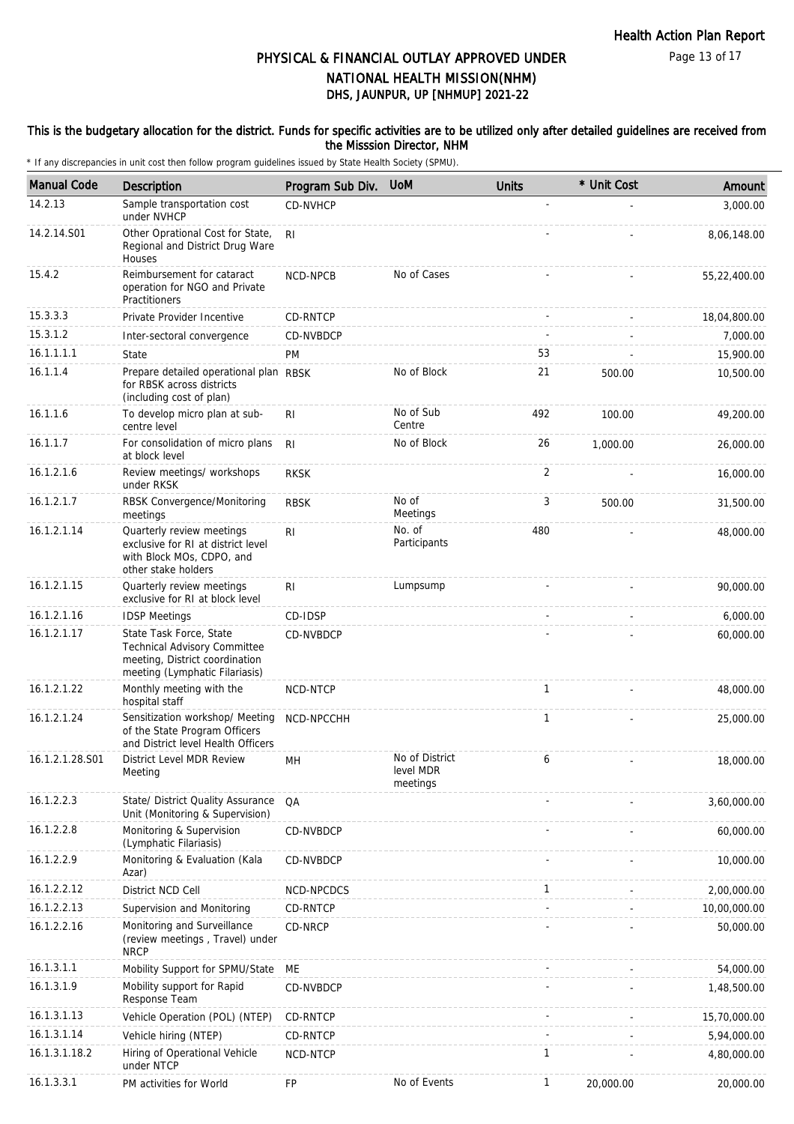Page 13 of 17

# DHS, JAUNPUR, UP [NHMUP] 2021-22 PHYSICAL & FINANCIAL OUTLAY APPROVED UNDER NATIONAL HEALTH MISSION(NHM)

#### This is the budgetary allocation for the district. Funds for specific activities are to be utilized only after detailed guidelines are received from the Misssion Director, NHM

| <b>Manual Code</b> | <b>Description</b>                                                                                                                 | Program Sub Div. | <b>UoM</b>                              | <b>Units</b> | * Unit Cost | Amount       |
|--------------------|------------------------------------------------------------------------------------------------------------------------------------|------------------|-----------------------------------------|--------------|-------------|--------------|
| 14.2.13            | Sample transportation cost<br>under NVHCP                                                                                          | <b>CD-NVHCP</b>  |                                         |              |             | 3,000.00     |
| 14.2.14.S01        | Other Oprational Cost for State,<br>Regional and District Drug Ware<br>Houses                                                      | RI.              |                                         |              |             | 8,06,148.00  |
| 15.4.2             | Reimbursement for cataract<br>operation for NGO and Private<br>Practitioners                                                       | NCD-NPCB         | No of Cases                             |              |             | 55,22,400.00 |
| 15.3.3.3           | Private Provider Incentive                                                                                                         | CD-RNTCP         |                                         |              |             | 18,04,800.00 |
| 15.3.1.2           | Inter-sectoral convergence                                                                                                         | CD-NVBDCP        |                                         |              |             | 7,000.00     |
| 16.1.1.1.1         | State                                                                                                                              | <b>PM</b>        |                                         | 53           |             | 15,900.00    |
| 16.1.1.4           | Prepare detailed operational plan RBSK<br>for RBSK across districts<br>(including cost of plan)                                    |                  | No of Block                             | 21           | 500.00      | 10,500.00    |
| 16.1.1.6           | To develop micro plan at sub-<br>centre level                                                                                      | R <sub>1</sub>   | No of Sub<br>Centre                     | 492          | 100.00      | 49,200.00    |
| 16.1.1.7           | For consolidation of micro plans<br>at block level                                                                                 | R <sub>l</sub>   | No of Block                             | 26           | 1,000.00    | 26,000.00    |
| 16.1.2.1.6         | Review meetings/ workshops<br>under RKSK                                                                                           | <b>RKSK</b>      |                                         | 2            |             | 16,000.00    |
| 16.1.2.1.7         | RBSK Convergence/Monitoring<br>meetings                                                                                            | <b>RBSK</b>      | No of<br>Meetings                       | 3            | 500.00      | 31,500.00    |
| 16.1.2.1.14        | Quarterly review meetings<br>exclusive for RI at district level<br>with Block MOs, CDPO, and<br>other stake holders                | RI               | No. of<br>Participants                  | 480          |             | 48,000.00    |
| 16.1.2.1.15        | Quarterly review meetings<br>exclusive for RI at block level                                                                       | RI               | Lumpsump                                |              |             | 90,000.00    |
| 16.1.2.1.16        | <b>IDSP Meetings</b>                                                                                                               | CD-IDSP          |                                         |              |             | 6,000.00     |
| 16.1.2.1.17        | State Task Force, State<br><b>Technical Advisory Committee</b><br>meeting, District coordination<br>meeting (Lymphatic Filariasis) | CD-NVBDCP        |                                         |              |             | 60,000.00    |
| 16.1.2.1.22        | Monthly meeting with the<br>hospital staff                                                                                         | NCD-NTCP         |                                         | $\mathbf{1}$ |             | 48,000.00    |
| 16.1.2.1.24        | Sensitization workshop/ Meeting<br>of the State Program Officers<br>and District level Health Officers                             | NCD-NPCCHH       |                                         | $\mathbf{1}$ |             | 25,000.00    |
| 16.1.2.1.28.S01    | District Level MDR Review<br>Meeting                                                                                               | MН               | No of District<br>level MDR<br>meetings | 6            |             | 18,000.00    |
| 16.1.2.2.3         | State/ District Quality Assurance<br>Unit (Monitoring & Supervision)                                                               | QA               |                                         |              |             | 3,60,000.00  |
| 16.1.2.2.8         | Monitoring & Supervision<br>(Lymphatic Filariasis)                                                                                 | CD-NVBDCP        |                                         |              |             | 60,000.00    |
| 16.1.2.2.9         | Monitoring & Evaluation (Kala<br>Azar)                                                                                             | CD-NVBDCP        |                                         |              |             | 10,000.00    |
| 16.1.2.2.12        | District NCD Cell                                                                                                                  | NCD-NPCDCS       |                                         | 1            |             | 2,00,000.00  |
| 16.1.2.2.13        | Supervision and Monitoring                                                                                                         | CD-RNTCP         |                                         |              |             | 10,00,000.00 |
| 16.1.2.2.16        | Monitoring and Surveillance<br>(review meetings, Travel) under<br><b>NRCP</b>                                                      | CD-NRCP          |                                         |              |             | 50,000.00    |
| 16.1.3.1.1         | Mobility Support for SPMU/State                                                                                                    | ME               |                                         |              |             | 54,000.00    |
| 16.1.3.1.9         | Mobility support for Rapid<br>Response Team                                                                                        | CD-NVBDCP        |                                         |              |             | 1,48,500.00  |
| 16.1.3.1.13        | Vehicle Operation (POL) (NTEP)                                                                                                     | CD-RNTCP         |                                         |              |             | 15,70,000.00 |
| 16.1.3.1.14        | Vehicle hiring (NTEP)                                                                                                              | CD-RNTCP         |                                         |              |             | 5,94,000.00  |
| 16.1.3.1.18.2      | Hiring of Operational Vehicle<br>under NTCP                                                                                        | NCD-NTCP         |                                         | $\mathbf{1}$ |             | 4,80,000.00  |
| 16.1.3.3.1         | PM activities for World                                                                                                            | FP               | No of Events                            | $\mathbf{1}$ | 20,000.00   | 20,000.00    |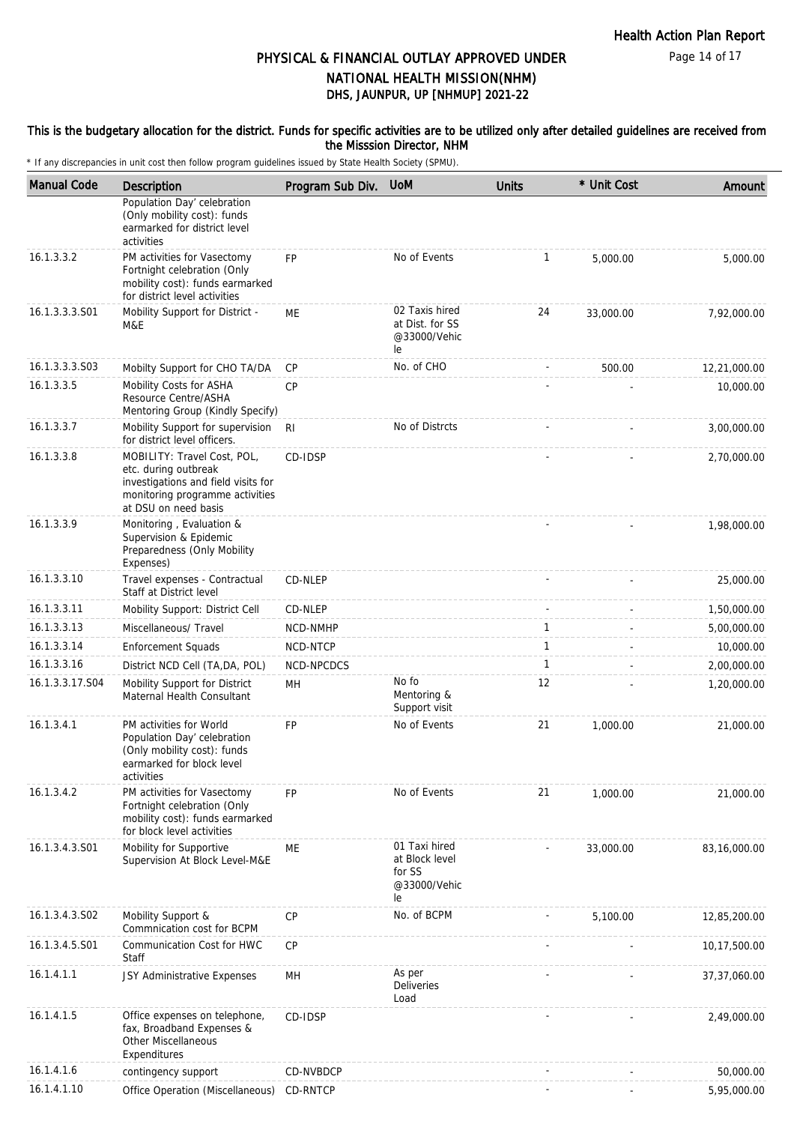This is the budgetary allocation for the district. Funds for specific activities are to be utilized only after detailed guidelines are received from the Misssion Director, NHM

| <b>Manual Code</b> | Description                                                                                                                                           | Program Sub Div. | <b>UoM</b>                                                      | <b>Units</b> | * Unit Cost | Amount         |
|--------------------|-------------------------------------------------------------------------------------------------------------------------------------------------------|------------------|-----------------------------------------------------------------|--------------|-------------|----------------|
|                    | Population Day' celebration<br>(Only mobility cost): funds<br>earmarked for district level<br>activities                                              |                  |                                                                 |              |             |                |
| 16.1.3.3.2         | PM activities for Vasectomy<br>Fortnight celebration (Only<br>mobility cost): funds earmarked<br>for district level activities                        | <b>FP</b>        | No of Events                                                    | 1            | 5,000.00    | 5,000.00       |
| 16.1.3.3.3.S01     | Mobility Support for District -<br>M&E                                                                                                                | ME               | 02 Taxis hired<br>at Dist. for SS<br>@33000/Vehic<br>le         | 24           | 33,000.00   | 7,92,000.00    |
| 16.1.3.3.3.S03     | Mobilty Support for CHO TA/DA                                                                                                                         | СP               | No. of CHO                                                      |              | 500.00      | 12,21,000.00   |
| 16.1.3.3.5         | Mobility Costs for ASHA<br>Resource Centre/ASHA<br>Mentoring Group (Kindly Specify)                                                                   | <b>CP</b>        |                                                                 |              |             | 10,000.00      |
| 16.1.3.3.7         | Mobility Support for supervision<br>for district level officers.                                                                                      | R <sub>l</sub>   | No of Distrcts                                                  |              |             | 3,00,000.00    |
| 16.1.3.3.8         | MOBILITY: Travel Cost, POL,<br>etc. during outbreak<br>investigations and field visits for<br>monitoring programme activities<br>at DSU on need basis | CD-IDSP          |                                                                 |              |             | 2,70,000.00    |
| 16.1.3.3.9         | Monitoring, Evaluation &<br>Supervision & Epidemic<br>Preparedness (Only Mobility<br>Expenses)                                                        |                  |                                                                 |              |             | 1,98,000.00    |
| 16.1.3.3.10        | Travel expenses - Contractual<br>Staff at District level                                                                                              | CD-NLEP          |                                                                 |              |             | 25,000.00      |
| 16.1.3.3.11        | Mobility Support: District Cell                                                                                                                       | CD-NLEP          |                                                                 |              |             | 1,50,000.00    |
| 16.1.3.3.13        | Miscellaneous/ Travel                                                                                                                                 | NCD-NMHP         |                                                                 | 1            |             | 5,00,000.00    |
| 16.1.3.3.14        | <b>Enforcement Squads</b>                                                                                                                             | NCD-NTCP         |                                                                 | $\mathbf{1}$ |             | 10,000.00      |
| 16.1.3.3.16        | District NCD Cell (TA, DA, POL)                                                                                                                       | NCD-NPCDCS       |                                                                 | $\mathbf{1}$ |             | 2,00,000.00    |
| 16.1.3.3.17.S04    | Mobility Support for District<br>Maternal Health Consultant                                                                                           | MН               | No fo<br>Mentoring &<br>Support visit                           | 12           |             | 1,20,000.00    |
| 16.1.3.4.1         | PM activities for World<br>Population Day' celebration<br>(Only mobility cost): funds<br>earmarked for block level<br>activities                      | <b>FP</b>        | No of Events                                                    | 21           | 1,000.00    | 21,000.00      |
| 16.1.3.4.2         | PM activities for Vasectomy<br>Fortnight celebration (Only<br>mobility cost): funds earmarked<br>for block level activities                           | <b>FP</b>        | No of Events                                                    | 21           | 1,000.00    | 21,000.00      |
| 16.1.3.4.3.S01     | Mobility for Supportive<br>Supervision At Block Level-M&E                                                                                             | МE               | 01 Taxi hired<br>at Block level<br>for SS<br>@33000/Vehic<br>le |              | 33,000.00   | 83,16,000.00   |
| 16.1.3.4.3.S02     | Mobility Support &<br>Commnication cost for BCPM                                                                                                      | <b>CP</b>        | No. of BCPM                                                     |              | 5,100.00    | 12,85,200.00   |
| 16.1.3.4.5.S01     | Communication Cost for HWC<br>Staff                                                                                                                   | CP               |                                                                 |              |             | 10,17,500.00   |
| 16.1.4.1.1         | JSY Administrative Expenses                                                                                                                           | MH               | As per<br>Deliveries<br>Load                                    |              |             | 37, 37, 060.00 |
| 16.1.4.1.5         | Office expenses on telephone,<br>fax, Broadband Expenses &<br>Other Miscellaneous<br>Expenditures                                                     | CD-IDSP          |                                                                 |              |             | 2,49,000.00    |
| 16.1.4.1.6         | contingency support                                                                                                                                   | CD-NVBDCP        |                                                                 |              |             | 50,000.00      |
| 16.1.4.1.10        | Office Operation (Miscellaneous)                                                                                                                      | CD-RNTCP         |                                                                 |              |             | 5,95,000.00    |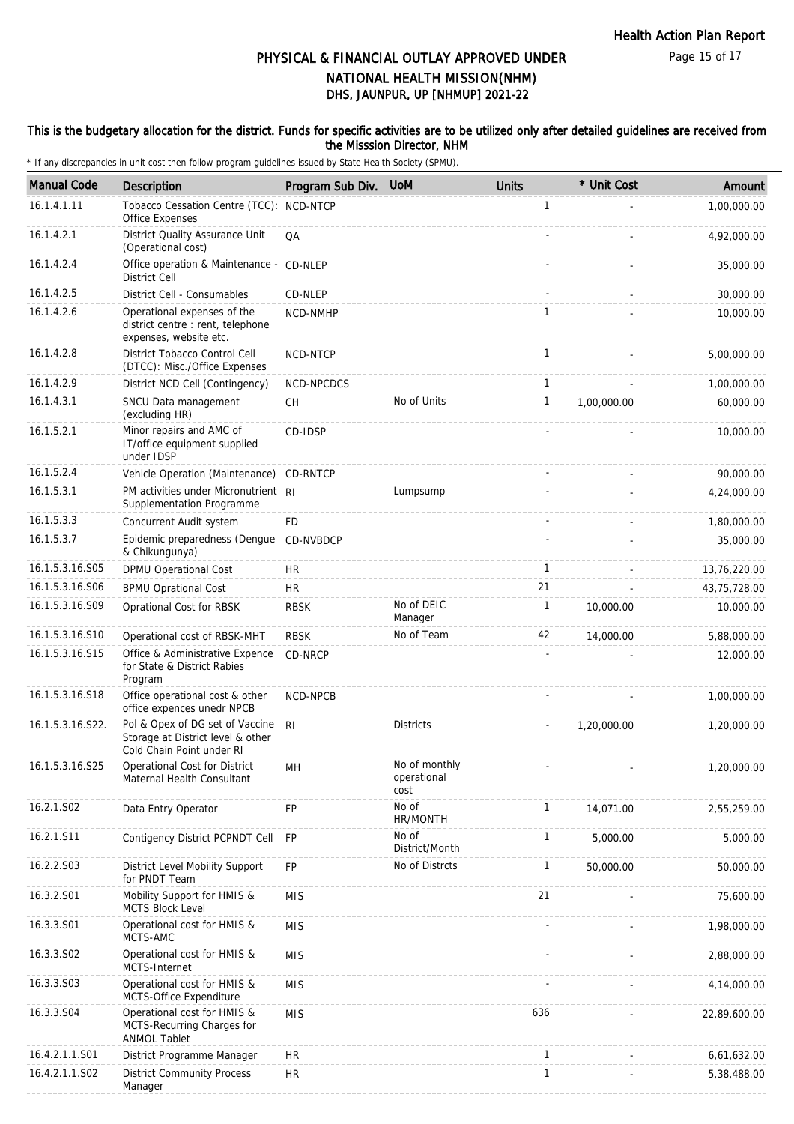#### This is the budgetary allocation for the district. Funds for specific activities are to be utilized only after detailed guidelines are received from the Misssion Director, NHM

| <b>Manual Code</b> | Description                                                                                       | Program Sub Div. | <b>UoM</b>                           | <b>Units</b> | * Unit Cost | Amount       |
|--------------------|---------------------------------------------------------------------------------------------------|------------------|--------------------------------------|--------------|-------------|--------------|
| 16.1.4.1.11        | Tobacco Cessation Centre (TCC): NCD-NTCP<br>Office Expenses                                       |                  |                                      | $\mathbf{1}$ |             | 1,00,000.00  |
| 16.1.4.2.1         | District Quality Assurance Unit<br>(Operational cost)                                             | QA               |                                      |              |             | 4,92,000.00  |
| 16.1.4.2.4         | Office operation & Maintenance - CD-NLEP<br>District Cell                                         |                  |                                      |              |             | 35,000.00    |
| 16.1.4.2.5         | District Cell - Consumables                                                                       | CD-NLEP          |                                      |              |             | 30,000.00    |
| 16.1.4.2.6         | Operational expenses of the<br>district centre : rent, telephone<br>expenses, website etc.        | <b>NCD-NMHP</b>  |                                      | 1            |             | 10,000.00    |
| 16.1.4.2.8         | District Tobacco Control Cell<br>(DTCC): Misc./Office Expenses                                    | NCD-NTCP         |                                      | $\mathbf{1}$ |             | 5,00,000.00  |
| 16.1.4.2.9         | District NCD Cell (Contingency)                                                                   | NCD-NPCDCS       |                                      | 1            |             | 1,00,000.00  |
| 16.1.4.3.1         | SNCU Data management<br>(excluding HR)                                                            | СH               | No of Units                          | $\mathbf{1}$ | 1,00,000.00 | 60,000.00    |
| 16.1.5.2.1         | Minor repairs and AMC of<br>IT/office equipment supplied<br>under IDSP                            | CD-IDSP          |                                      |              |             | 10,000.00    |
| 16.1.5.2.4         | Vehicle Operation (Maintenance)                                                                   | <b>CD-RNTCP</b>  |                                      |              |             | 90,000.00    |
| 16.1.5.3.1         | PM activities under Micronutrient RI<br>Supplementation Programme                                 |                  | Lumpsump                             |              |             | 4,24,000.00  |
| 16.1.5.3.3         | Concurrent Audit system                                                                           | FD               |                                      |              |             | 1,80,000.00  |
| 16.1.5.3.7         | Epidemic preparedness (Dengue<br>& Chikungunya)                                                   | CD-NVBDCP        |                                      |              |             | 35,000.00    |
| 16.1.5.3.16.S05    | DPMU Operational Cost                                                                             | HR               |                                      | $\mathbf{1}$ |             | 13,76,220.00 |
| 16.1.5.3.16.S06    | <b>BPMU Oprational Cost</b>                                                                       | <b>HR</b>        |                                      | 21           |             | 43,75,728.00 |
| 16.1.5.3.16.S09    | Oprational Cost for RBSK                                                                          | <b>RBSK</b>      | No of DEIC<br>Manager                | $\mathbf{1}$ | 10,000.00   | 10,000.00    |
| 16.1.5.3.16.S10    | Operational cost of RBSK-MHT                                                                      | <b>RBSK</b>      | No of Team                           | 42           | 14,000.00   | 5,88,000.00  |
| 16.1.5.3.16.S15    | Office & Administrative Expence<br>for State & District Rabies<br>Program                         | CD-NRCP          |                                      |              |             | 12,000.00    |
| 16.1.5.3.16.S18    | Office operational cost & other<br>office expences unedr NPCB                                     | NCD-NPCB         |                                      |              |             | 1,00,000.00  |
| 16.1.5.3.16.S22.   | Pol & Opex of DG set of Vaccine<br>Storage at District level & other<br>Cold Chain Point under RI | RI.              | <b>Districts</b>                     |              | 1,20,000.00 | 1,20,000.00  |
| 16.1.5.3.16.S25    | Operational Cost for District<br>Maternal Health Consultant                                       | MH               | No of monthly<br>operational<br>cost |              |             | 1,20,000.00  |
| 16.2.1.S02         | Data Entry Operator                                                                               | FP               | No of<br>HR/MONTH                    | $\mathbf{1}$ | 14,071.00   | 2,55,259.00  |
| 16.2.1.S11         | Contigency District PCPNDT Cell                                                                   | <b>FP</b>        | No of<br>District/Month              | $\mathbf{1}$ | 5,000.00    | 5,000.00     |
| 16.2.2.S03         | District Level Mobility Support<br>for PNDT Team                                                  | <b>FP</b>        | No of Distrcts                       | $\mathbf{1}$ | 50,000.00   | 50,000.00    |
| 16.3.2.S01         | Mobility Support for HMIS &<br><b>MCTS Block Level</b>                                            | <b>MIS</b>       |                                      | 21           |             | 75,600.00    |
| 16.3.3.S01         | Operational cost for HMIS &<br>MCTS-AMC                                                           | <b>MIS</b>       |                                      |              |             | 1,98,000.00  |
| 16.3.3.S02         | Operational cost for HMIS &<br>MCTS-Internet                                                      | <b>MIS</b>       |                                      |              |             | 2,88,000.00  |
| 16.3.3.S03         | Operational cost for HMIS &<br>MCTS-Office Expenditure                                            | <b>MIS</b>       |                                      |              |             | 4,14,000.00  |
| 16.3.3.S04         | Operational cost for HMIS &<br>MCTS-Recurring Charges for<br><b>ANMOL Tablet</b>                  | <b>MIS</b>       |                                      | 636          |             | 22,89,600.00 |
| 16.4.2.1.1.S01     | District Programme Manager                                                                        | <b>HR</b>        |                                      | $\mathbf{1}$ |             | 6,61,632.00  |
| 16.4.2.1.1.S02     | <b>District Community Process</b><br>Manager                                                      | <b>HR</b>        |                                      | $\mathbf{1}$ |             | 5,38,488.00  |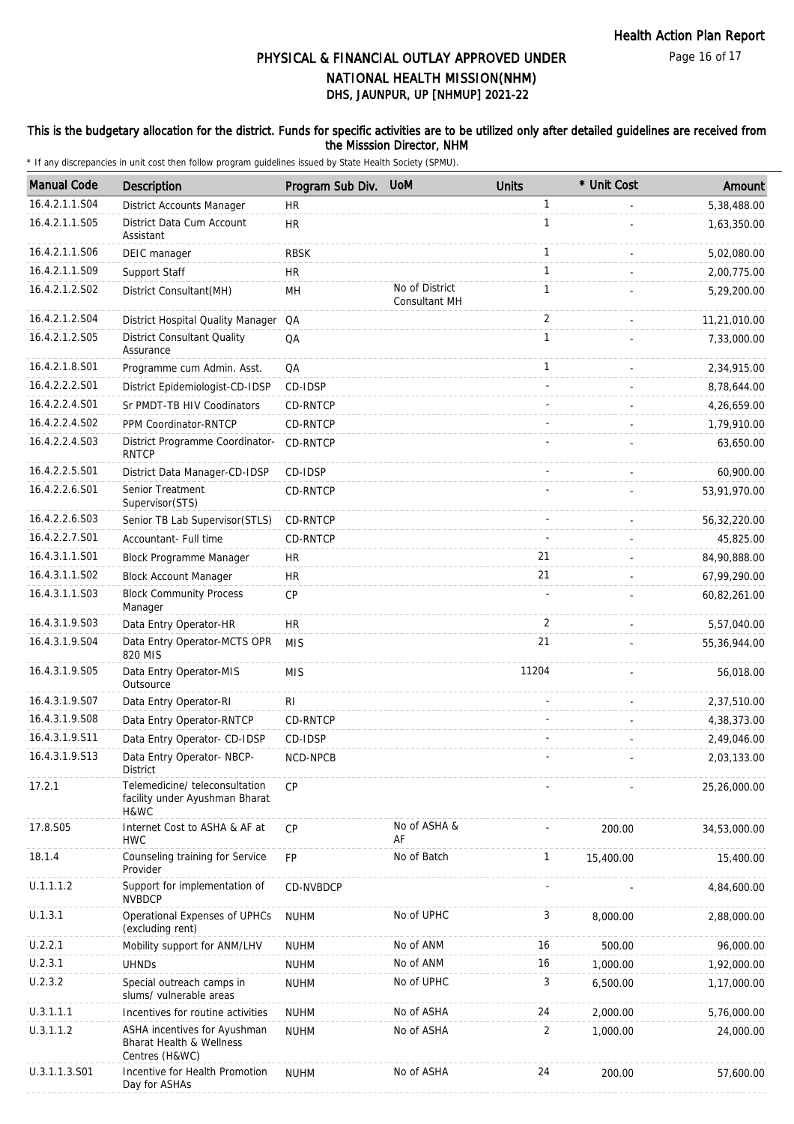#### This is the budgetary allocation for the district. Funds for specific activities are to be utilized only after detailed guidelines are received from the Misssion Director, NHM

| <b>Manual Code</b> | Description                                                                           | Program Sub Div. | <b>UoM</b>                      | <b>Units</b> | * Unit Cost | Amount       |
|--------------------|---------------------------------------------------------------------------------------|------------------|---------------------------------|--------------|-------------|--------------|
| 16.4.2.1.1.S04     | District Accounts Manager                                                             | <b>HR</b>        |                                 | $\mathbf{1}$ |             | 5,38,488.00  |
| 16.4.2.1.1.S05     | District Data Cum Account<br>Assistant                                                | <b>HR</b>        |                                 | 1            |             | 1,63,350.00  |
| 16.4.2.1.1.S06     | DEIC manager                                                                          | <b>RBSK</b>      |                                 | $\mathbf{1}$ |             | 5,02,080.00  |
| 16.4.2.1.1.S09     | Support Staff                                                                         | HR               |                                 | $\mathbf{1}$ |             | 2,00,775.00  |
| 16.4.2.1.2.S02     | District Consultant(MH)                                                               | MH               | No of District<br>Consultant MH | $\mathbf{1}$ |             | 5,29,200.00  |
| 16.4.2.1.2.S04     | District Hospital Quality Manager QA                                                  |                  |                                 | 2            |             | 11,21,010.00 |
| 16.4.2.1.2.S05     | <b>District Consultant Quality</b><br>Assurance                                       | QA               |                                 | $\mathbf{1}$ |             | 7,33,000.00  |
| 16.4.2.1.8.S01     | Programme cum Admin. Asst.                                                            | QA               |                                 | $\mathbf{1}$ |             | 2,34,915.00  |
| 16.4.2.2.2.S01     | District Epidemiologist-CD-IDSP                                                       | CD-IDSP          |                                 |              |             | 8,78,644.00  |
| 16.4.2.2.4.S01     | Sr PMDT-TB HIV Coodinators                                                            | CD-RNTCP         |                                 |              |             | 4,26,659.00  |
| 16.4.2.2.4.S02     | PPM Coordinator-RNTCP                                                                 | CD-RNTCP         |                                 |              |             | 1,79,910.00  |
| 16.4.2.2.4.S03     | District Programme Coordinator-<br><b>RNTCP</b>                                       | CD-RNTCP         |                                 |              |             | 63,650.00    |
| 16.4.2.2.5.S01     | District Data Manager-CD-IDSP                                                         | CD-IDSP          |                                 |              |             | 60,900.00    |
| 16.4.2.2.6.S01     | Senior Treatment<br>Supervisor(STS)                                                   | CD-RNTCP         |                                 |              |             | 53,91,970.00 |
| 16.4.2.2.6.S03     | Senior TB Lab Supervisor(STLS)                                                        | CD-RNTCP         |                                 |              |             | 56,32,220.00 |
| 16.4.2.2.7.S01     | Accountant- Full time                                                                 | CD-RNTCP         |                                 |              |             | 45,825.00    |
| 16.4.3.1.1.S01     | Block Programme Manager                                                               | <b>HR</b>        |                                 | 21           |             | 84,90,888.00 |
| 16.4.3.1.1.S02     | <b>Block Account Manager</b>                                                          | <b>HR</b>        |                                 | 21           |             | 67,99,290.00 |
| 16.4.3.1.1.S03     | <b>Block Community Process</b><br>Manager                                             | CP               |                                 |              |             | 60,82,261.00 |
| 16.4.3.1.9.S03     | Data Entry Operator-HR                                                                | HR               |                                 | 2            |             | 5,57,040.00  |
| 16.4.3.1.9.S04     | Data Entry Operator-MCTS OPR<br>820 MIS                                               | <b>MIS</b>       |                                 | 21           |             | 55,36,944.00 |
| 16.4.3.1.9.S05     | Data Entry Operator-MIS<br>Outsource                                                  | <b>MIS</b>       |                                 | 11204        |             | 56,018.00    |
| 16.4.3.1.9.S07     | Data Entry Operator-RI                                                                | R <sub>l</sub>   |                                 |              |             | 2,37,510.00  |
| 16.4.3.1.9.S08     | Data Entry Operator-RNTCP                                                             | <b>CD-RNTCP</b>  |                                 |              |             | 4,38,373.00  |
| 16.4.3.1.9.S11     | Data Entry Operator- CD-IDSP                                                          | CD-IDSP          |                                 |              |             | 2,49,046.00  |
| 16.4.3.1.9.S13     | Data Entry Operator- NBCP-<br>District                                                | NCD-NPCB         |                                 |              |             | 2,03,133.00  |
| 17.2.1             | Telemedicine/teleconsultation<br>facility under Ayushman Bharat<br>H&WC               | <b>CP</b>        |                                 |              |             | 25,26,000.00 |
| 17.8.S05           | Internet Cost to ASHA & AF at<br><b>HWC</b>                                           | <b>CP</b>        | No of ASHA &<br>AF              |              | 200.00      | 34,53,000.00 |
| 18.1.4             | Counseling training for Service<br>Provider                                           | <b>FP</b>        | No of Batch                     | $\mathbf{1}$ | 15,400.00   | 15,400.00    |
| U.1.1.1.2          | Support for implementation of<br><b>NVBDCP</b>                                        | CD-NVBDCP        |                                 |              |             | 4,84,600.00  |
| U.1.3.1            | Operational Expenses of UPHCs<br>(excluding rent)                                     | <b>NUHM</b>      | No of UPHC                      | 3            | 8,000.00    | 2,88,000.00  |
| U.2.2.1            | Mobility support for ANM/LHV                                                          | <b>NUHM</b>      | No of ANM                       | 16           | 500.00      | 96,000.00    |
| U.2.3.1            | <b>UHNDs</b>                                                                          | <b>NUHM</b>      | No of ANM                       | 16           | 1,000.00    | 1,92,000.00  |
| U.2.3.2            | Special outreach camps in<br>slums/ vulnerable areas                                  | <b>NUHM</b>      | No of UPHC                      | 3            | 6,500.00    | 1,17,000.00  |
| U.3.1.1.1          | Incentives for routine activities                                                     | <b>NUHM</b>      | No of ASHA                      | 24           | 2,000.00    | 5,76,000.00  |
| U.3.1.1.2          | ASHA incentives for Ayushman<br><b>Bharat Health &amp; Wellness</b><br>Centres (H&WC) | <b>NUHM</b>      | No of ASHA                      | 2            | 1,000.00    | 24,000.00    |
| U.3.1.1.3.S01      | Incentive for Health Promotion<br>Day for ASHAs                                       | <b>NUHM</b>      | No of ASHA                      | 24           | 200.00      | 57,600.00    |